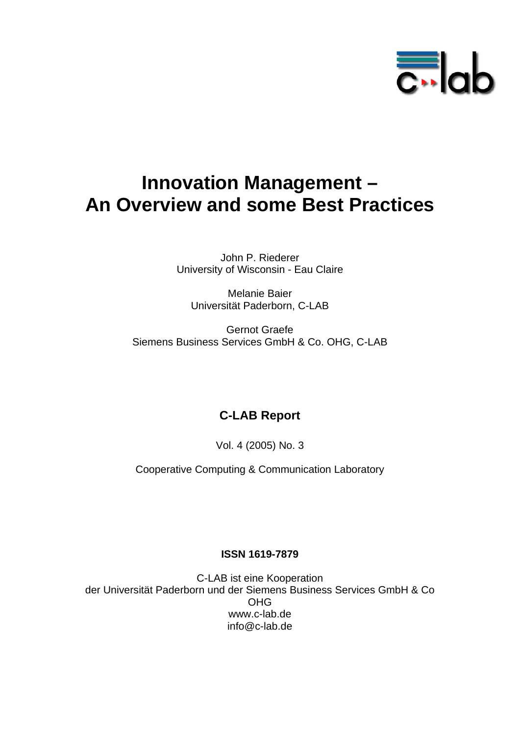

# **Innovation Management – An Overview and some Best Practices**

John P. Riederer University of Wisconsin - Eau Claire

Melanie Baier Universität Paderborn, C-LAB

Gernot Graefe Siemens Business Services GmbH & Co. OHG, C-LAB

## **C-LAB Report**

Vol. 4 (2005) No. 3

Cooperative Computing & Communication Laboratory

#### **ISSN 1619-7879**

C-LAB ist eine Kooperation der Universität Paderborn und der Siemens Business Services GmbH & Co OHG www.c-lab.de info@c-lab.de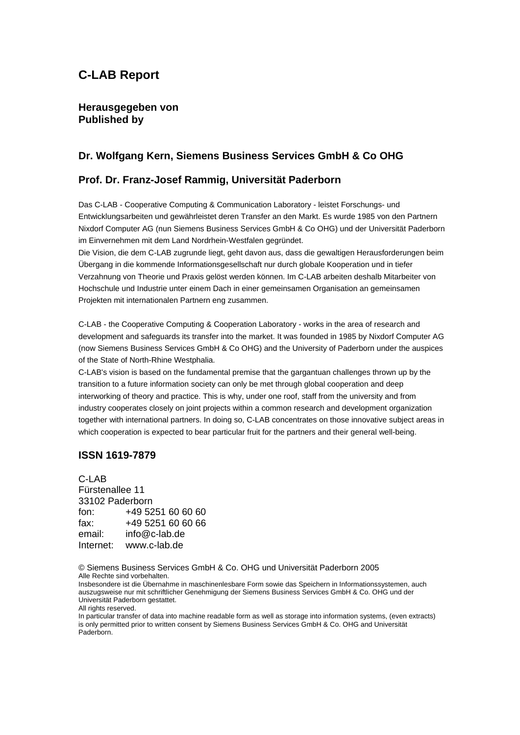### **C-LAB Report**

#### **Herausgegeben von Published by**

#### **Dr. Wolfgang Kern, Siemens Business Services GmbH & Co OHG**

#### **Prof. Dr. Franz-Josef Rammig, Universität Paderborn**

Das C-LAB - Cooperative Computing & Communication Laboratory - leistet Forschungs- und Entwicklungsarbeiten und gewährleistet deren Transfer an den Markt. Es wurde 1985 von den Partnern Nixdorf Computer AG (nun Siemens Business Services GmbH & Co OHG) und der Universität Paderborn im Einvernehmen mit dem Land Nordrhein-Westfalen gegründet.

Die Vision, die dem C-LAB zugrunde liegt, geht davon aus, dass die gewaltigen Herausforderungen beim Übergang in die kommende Informationsgesellschaft nur durch globale Kooperation und in tiefer Verzahnung von Theorie und Praxis gelöst werden können. Im C-LAB arbeiten deshalb Mitarbeiter von Hochschule und Industrie unter einem Dach in einer gemeinsamen Organisation an gemeinsamen Projekten mit internationalen Partnern eng zusammen.

C-LAB - the Cooperative Computing & Cooperation Laboratory - works in the area of research and development and safeguards its transfer into the market. It was founded in 1985 by Nixdorf Computer AG (now Siemens Business Services GmbH & Co OHG) and the University of Paderborn under the auspices of the State of North-Rhine Westphalia.

C-LAB's vision is based on the fundamental premise that the gargantuan challenges thrown up by the transition to a future information society can only be met through global cooperation and deep interworking of theory and practice. This is why, under one roof, staff from the university and from industry cooperates closely on joint projects within a common research and development organization together with international partners. In doing so, C-LAB concentrates on those innovative subject areas in which cooperation is expected to bear particular fruit for the partners and their general well-being.

#### **ISSN 1619-7879**

C-LAB Fürstenallee 11 33102 Paderborn fon: +49 5251 60 60 60 fax: +49 5251 60 60 66 email: info@c-lab.de Internet: www.c-lab.de

© Siemens Business Services GmbH & Co. OHG und Universität Paderborn 2005 Alle Rechte sind vorbehalten.

Insbesondere ist die Übernahme in maschinenlesbare Form sowie das Speichern in Informationssystemen, auch auszugsweise nur mit schriftlicher Genehmigung der Siemens Business Services GmbH & Co. OHG und der Universität Paderborn gestattet.

All rights reserved.

In particular transfer of data into machine readable form as well as storage into information systems, (even extracts) is only permitted prior to written consent by Siemens Business Services GmbH & Co. OHG and Universität Paderborn.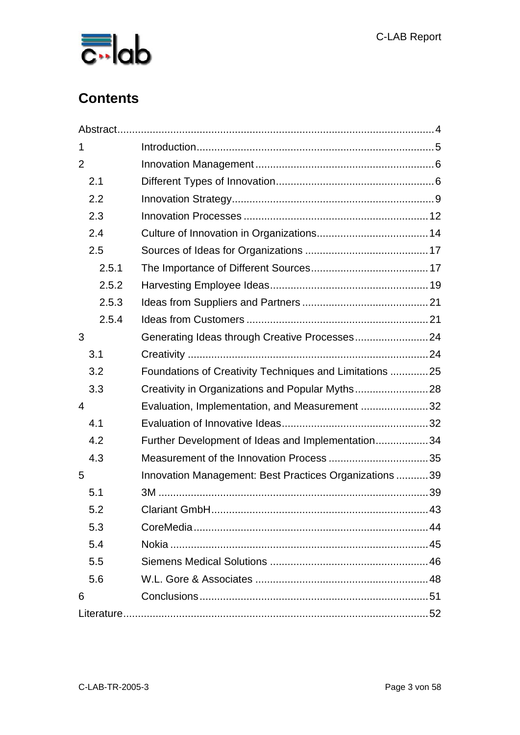

## **Contents**

| 1              |                                                         |  |
|----------------|---------------------------------------------------------|--|
| $\overline{2}$ |                                                         |  |
| 2.1            |                                                         |  |
| 2.2            |                                                         |  |
| 2.3            |                                                         |  |
| 2.4            |                                                         |  |
| 2.5            |                                                         |  |
| 2.5.1          |                                                         |  |
| 2.5.2          |                                                         |  |
| 2.5.3          |                                                         |  |
| 2.5.4          |                                                         |  |
| 3              | Generating Ideas through Creative Processes24           |  |
| 3.1            |                                                         |  |
| 3.2            | Foundations of Creativity Techniques and Limitations 25 |  |
| 3.3            | Creativity in Organizations and Popular Myths28         |  |
| $\overline{4}$ | Evaluation, Implementation, and Measurement 32          |  |
| 4.1            |                                                         |  |
| 4.2            | Further Development of Ideas and Implementation34       |  |
| 4.3            |                                                         |  |
| 5              | Innovation Management: Best Practices Organizations39   |  |
| 5.1            |                                                         |  |
| 5.2            |                                                         |  |
| 5.3            |                                                         |  |
| 5.4            |                                                         |  |
| 5.5            |                                                         |  |
| 5.6            |                                                         |  |
| 6              |                                                         |  |
|                |                                                         |  |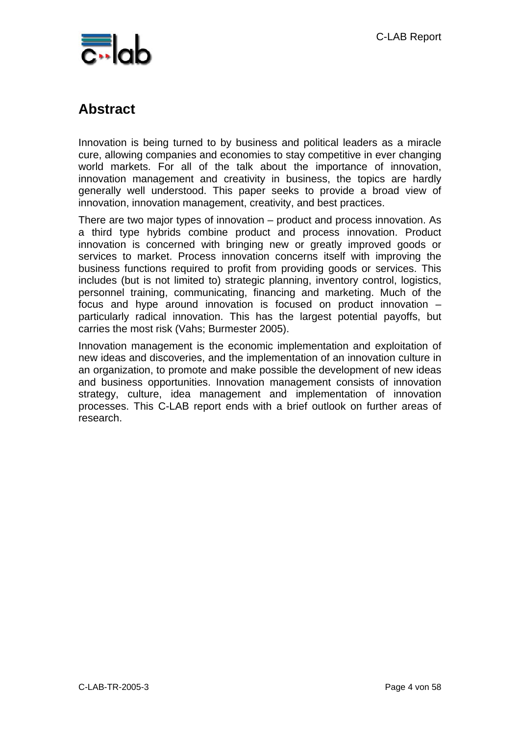

## **Abstract**

Innovation is being turned to by business and political leaders as a miracle cure, allowing companies and economies to stay competitive in ever changing world markets. For all of the talk about the importance of innovation, innovation management and creativity in business, the topics are hardly generally well understood. This paper seeks to provide a broad view of innovation, innovation management, creativity, and best practices.

There are two major types of innovation – product and process innovation. As a third type hybrids combine product and process innovation. Product innovation is concerned with bringing new or greatly improved goods or services to market. Process innovation concerns itself with improving the business functions required to profit from providing goods or services. This includes (but is not limited to) strategic planning, inventory control, logistics, personnel training, communicating, financing and marketing. Much of the focus and hype around innovation is focused on product innovation – particularly radical innovation. This has the largest potential payoffs, but carries the most risk (Vahs; Burmester 2005).

Innovation management is the economic implementation and exploitation of new ideas and discoveries, and the implementation of an innovation culture in an organization, to promote and make possible the development of new ideas and business opportunities. Innovation management consists of innovation strategy, culture, idea management and implementation of innovation processes. This C-LAB report ends with a brief outlook on further areas of research.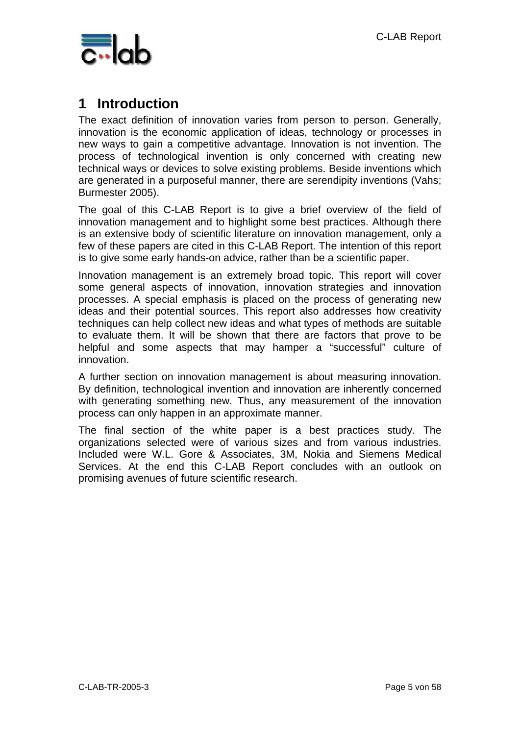

## **1 Introduction**

The exact definition of innovation varies from person to person. Generally, innovation is the economic application of ideas, technology or processes in new ways to gain a competitive advantage. Innovation is not invention. The process of technological invention is only concerned with creating new technical ways or devices to solve existing problems. Beside inventions which are generated in a purposeful manner, there are serendipity inventions (Vahs; Burmester 2005).

The goal of this C-LAB Report is to give a brief overview of the field of innovation management and to highlight some best practices. Although there is an extensive body of scientific literature on innovation management, only a few of these papers are cited in this C-LAB Report. The intention of this report is to give some early hands-on advice, rather than be a scientific paper.

Innovation management is an extremely broad topic. This report will cover some general aspects of innovation, innovation strategies and innovation processes. A special emphasis is placed on the process of generating new ideas and their potential sources. This report also addresses how creativity techniques can help collect new ideas and what types of methods are suitable to evaluate them. It will be shown that there are factors that prove to be helpful and some aspects that may hamper a "successful" culture of innovation.

A further section on innovation management is about measuring innovation. By definition, technological invention and innovation are inherently concerned with generating something new. Thus, any measurement of the innovation process can only happen in an approximate manner.

The final section of the white paper is a best practices study. The organizations selected were of various sizes and from various industries. Included were W.L. Gore & Associates, 3M, Nokia and Siemens Medical Services. At the end this C-LAB Report concludes with an outlook on promising avenues of future scientific research.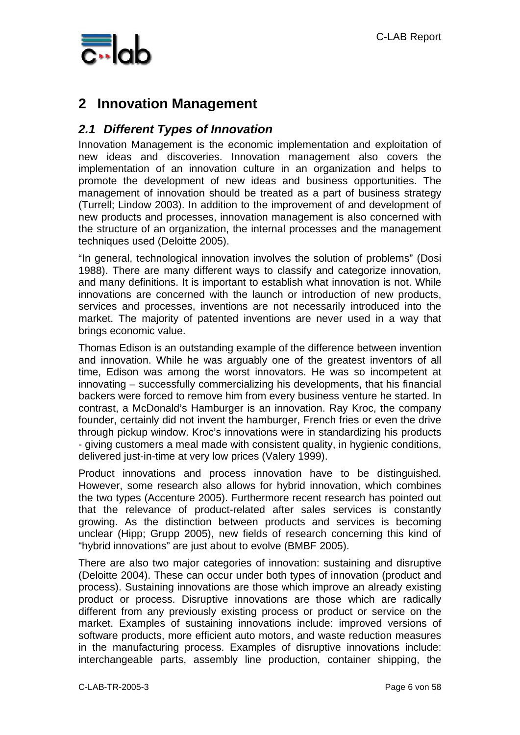

## **2 Innovation Management**

### *2.1 Different Types of Innovation*

Innovation Management is the economic implementation and exploitation of new ideas and discoveries. Innovation management also covers the implementation of an innovation culture in an organization and helps to promote the development of new ideas and business opportunities. The management of innovation should be treated as a part of business strategy (Turrell; Lindow 2003). In addition to the improvement of and development of new products and processes, innovation management is also concerned with the structure of an organization, the internal processes and the management techniques used (Deloitte 2005).

"In general, technological innovation involves the solution of problems" (Dosi 1988). There are many different ways to classify and categorize innovation, and many definitions. It is important to establish what innovation is not. While innovations are concerned with the launch or introduction of new products, services and processes, inventions are not necessarily introduced into the market. The majority of patented inventions are never used in a way that brings economic value.

Thomas Edison is an outstanding example of the difference between invention and innovation. While he was arguably one of the greatest inventors of all time, Edison was among the worst innovators. He was so incompetent at innovating – successfully commercializing his developments, that his financial backers were forced to remove him from every business venture he started. In contrast, a McDonald's Hamburger is an innovation. Ray Kroc, the company founder, certainly did not invent the hamburger, French fries or even the drive through pickup window. Kroc's innovations were in standardizing his products - giving customers a meal made with consistent quality, in hygienic conditions, delivered just-in-time at very low prices (Valery 1999).

Product innovations and process innovation have to be distinguished. However, some research also allows for hybrid innovation, which combines the two types (Accenture 2005). Furthermore recent research has pointed out that the relevance of product-related after sales services is constantly growing. As the distinction between products and services is becoming unclear (Hipp; Grupp 2005), new fields of research concerning this kind of "hybrid innovations" are just about to evolve (BMBF 2005).

There are also two major categories of innovation: sustaining and disruptive (Deloitte 2004). These can occur under both types of innovation (product and process). Sustaining innovations are those which improve an already existing product or process. Disruptive innovations are those which are radically different from any previously existing process or product or service on the market. Examples of sustaining innovations include: improved versions of software products, more efficient auto motors, and waste reduction measures in the manufacturing process. Examples of disruptive innovations include: interchangeable parts, assembly line production, container shipping, the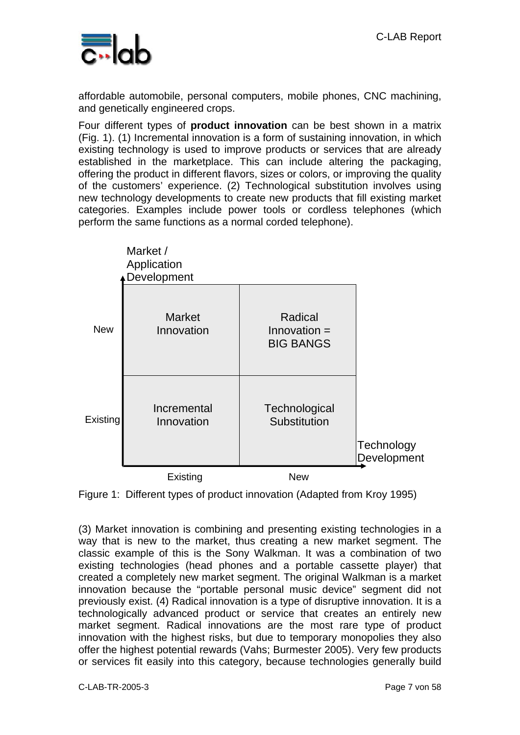

affordable automobile, personal computers, mobile phones, CNC machining, and genetically engineered crops.

Four different types of **product innovation** can be best shown in a matrix (Fig. 1). (1) Incremental innovation is a form of sustaining innovation, in which existing technology is used to improve products or services that are already established in the marketplace. This can include altering the packaging, offering the product in different flavors, sizes or colors, or improving the quality of the customers' experience. (2) Technological substitution involves using new technology developments to create new products that fill existing market categories. Examples include power tools or cordless telephones (which perform the same functions as a normal corded telephone).





(3) Market innovation is combining and presenting existing technologies in a way that is new to the market, thus creating a new market segment. The classic example of this is the Sony Walkman. It was a combination of two existing technologies (head phones and a portable cassette player) that created a completely new market segment. The original Walkman is a market innovation because the "portable personal music device" segment did not previously exist. (4) Radical innovation is a type of disruptive innovation. It is a technologically advanced product or service that creates an entirely new market segment. Radical innovations are the most rare type of product innovation with the highest risks, but due to temporary monopolies they also offer the highest potential rewards (Vahs; Burmester 2005). Very few products or services fit easily into this category, because technologies generally build

C-LAB-TR-2005-3 Page 7 von 58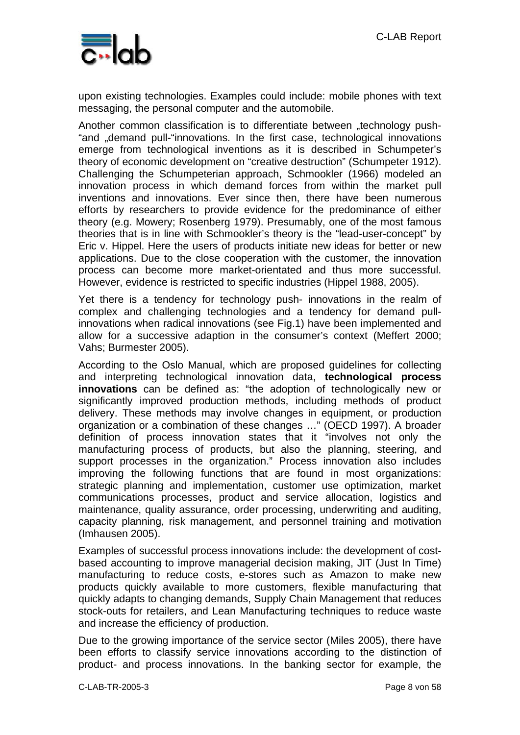

upon existing technologies. Examples could include: mobile phones with text messaging, the personal computer and the automobile.

Another common classification is to differentiate between "technology push-"and "demand pull-"innovations. In the first case, technological innovations emerge from technological inventions as it is described in Schumpeter's theory of economic development on "creative destruction" (Schumpeter 1912). Challenging the Schumpeterian approach, Schmookler (1966) modeled an innovation process in which demand forces from within the market pull inventions and innovations. Ever since then, there have been numerous efforts by researchers to provide evidence for the predominance of either theory (e.g. Mowery; Rosenberg 1979). Presumably, one of the most famous theories that is in line with Schmookler's theory is the "lead-user-concept" by Eric v. Hippel. Here the users of products initiate new ideas for better or new applications. Due to the close cooperation with the customer, the innovation process can become more market-orientated and thus more successful. However, evidence is restricted to specific industries (Hippel 1988, 2005).

Yet there is a tendency for technology push- innovations in the realm of complex and challenging technologies and a tendency for demand pullinnovations when radical innovations (see Fig.1) have been implemented and allow for a successive adaption in the consumer's context (Meffert 2000; Vahs; Burmester 2005).

According to the Oslo Manual, which are proposed guidelines for collecting and interpreting technological innovation data, **technological process innovations** can be defined as: "the adoption of technologically new or significantly improved production methods, including methods of product delivery. These methods may involve changes in equipment, or production organization or a combination of these changes …" (OECD 1997). A broader definition of process innovation states that it "involves not only the manufacturing process of products, but also the planning, steering, and support processes in the organization." Process innovation also includes improving the following functions that are found in most organizations: strategic planning and implementation, customer use optimization, market communications processes, product and service allocation, logistics and maintenance, quality assurance, order processing, underwriting and auditing, capacity planning, risk management, and personnel training and motivation (Imhausen 2005).

Examples of successful process innovations include: the development of costbased accounting to improve managerial decision making, JIT (Just In Time) manufacturing to reduce costs, e-stores such as Amazon to make new products quickly available to more customers, flexible manufacturing that quickly adapts to changing demands, Supply Chain Management that reduces stock-outs for retailers, and Lean Manufacturing techniques to reduce waste and increase the efficiency of production.

Due to the growing importance of the service sector (Miles 2005), there have been efforts to classify service innovations according to the distinction of product- and process innovations. In the banking sector for example, the

C-LAB-TR-2005-3 Page 8 von 58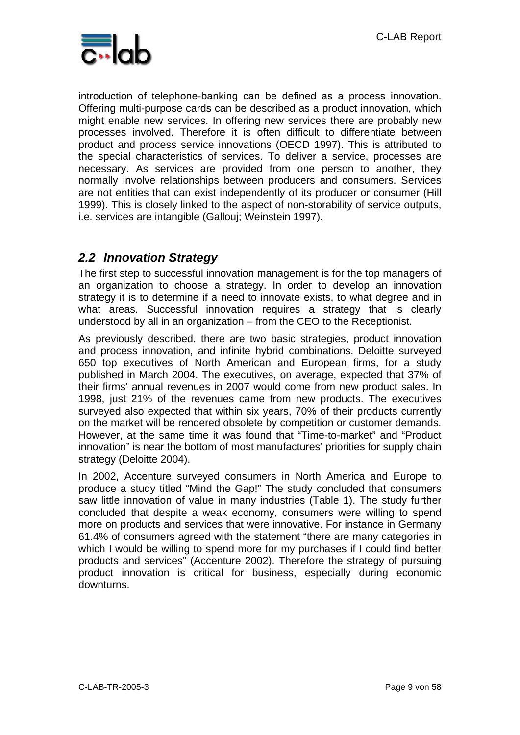

introduction of telephone-banking can be defined as a process innovation. Offering multi-purpose cards can be described as a product innovation, which might enable new services. In offering new services there are probably new processes involved. Therefore it is often difficult to differentiate between product and process service innovations (OECD 1997). This is attributed to the special characteristics of services. To deliver a service, processes are necessary. As services are provided from one person to another, they normally involve relationships between producers and consumers. Services are not entities that can exist independently of its producer or consumer (Hill 1999). This is closely linked to the aspect of non-storability of service outputs, i.e. services are intangible (Gallouj; Weinstein 1997).

### *2.2 Innovation Strategy*

The first step to successful innovation management is for the top managers of an organization to choose a strategy. In order to develop an innovation strategy it is to determine if a need to innovate exists, to what degree and in what areas. Successful innovation requires a strategy that is clearly understood by all in an organization – from the CEO to the Receptionist.

As previously described, there are two basic strategies, product innovation and process innovation, and infinite hybrid combinations. Deloitte surveyed 650 top executives of North American and European firms, for a study published in March 2004. The executives, on average, expected that 37% of their firms' annual revenues in 2007 would come from new product sales. In 1998, just 21% of the revenues came from new products. The executives surveyed also expected that within six years, 70% of their products currently on the market will be rendered obsolete by competition or customer demands. However, at the same time it was found that "Time-to-market" and "Product innovation" is near the bottom of most manufactures' priorities for supply chain strategy (Deloitte 2004).

In 2002, Accenture surveyed consumers in North America and Europe to produce a study titled "Mind the Gap!" The study concluded that consumers saw little innovation of value in many industries (Table 1). The study further concluded that despite a weak economy, consumers were willing to spend more on products and services that were innovative. For instance in Germany 61.4% of consumers agreed with the statement "there are many categories in which I would be willing to spend more for my purchases if I could find better products and services" (Accenture 2002). Therefore the strategy of pursuing product innovation is critical for business, especially during economic downturns.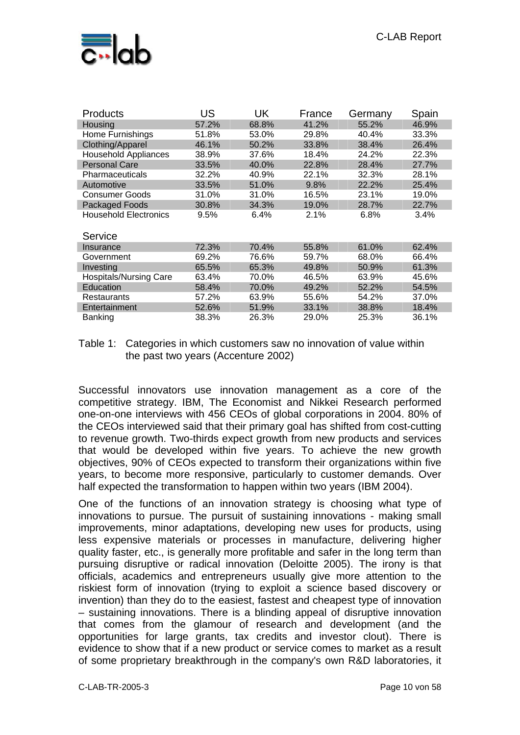

| <b>Products</b>               | US    | UK    | France | Germany | Spain |
|-------------------------------|-------|-------|--------|---------|-------|
| Housing                       | 57.2% | 68.8% | 41.2%  | 55.2%   | 46.9% |
| Home Furnishings              | 51.8% | 53.0% | 29.8%  | 40.4%   | 33.3% |
| Clothing/Apparel              | 46.1% | 50.2% | 33.8%  | 38.4%   | 26.4% |
| <b>Household Appliances</b>   | 38.9% | 37.6% | 18.4%  | 24.2%   | 22.3% |
| <b>Personal Care</b>          | 33.5% | 40.0% | 22.8%  | 28.4%   | 27.7% |
| Pharmaceuticals               | 32.2% | 40.9% | 22.1%  | 32.3%   | 28.1% |
| Automotive                    | 33.5% | 51.0% | 9.8%   | 22.2%   | 25.4% |
| <b>Consumer Goods</b>         | 31.0% | 31.0% | 16.5%  | 23.1%   | 19.0% |
| Packaged Foods                | 30.8% | 34.3% | 19.0%  | 28.7%   | 22.7% |
| <b>Household Electronics</b>  | 9.5%  | 6.4%  | 2.1%   | 6.8%    | 3.4%  |
| Service                       |       |       |        |         |       |
| Insurance                     | 72.3% | 70.4% | 55.8%  | 61.0%   | 62.4% |
| Government                    | 69.2% | 76.6% | 59.7%  | 68.0%   | 66.4% |
| Investing                     | 65.5% | 65.3% | 49.8%  | 50.9%   | 61.3% |
| <b>Hospitals/Nursing Care</b> | 63.4% | 70.0% | 46.5%  | 63.9%   | 45.6% |
| Education                     | 58.4% | 70.0% | 49.2%  | 52.2%   | 54.5% |
| <b>Restaurants</b>            | 57.2% | 63.9% | 55.6%  | 54.2%   | 37.0% |
| Entertainment                 | 52.6% | 51.9% | 33.1%  | 38.8%   | 18.4% |
| Banking                       | 38.3% | 26.3% | 29.0%  | 25.3%   | 36.1% |

Table 1: Categories in which customers saw no innovation of value within the past two years (Accenture 2002)

Successful innovators use innovation management as a core of the competitive strategy. IBM, The Economist and Nikkei Research performed one-on-one interviews with 456 CEOs of global corporations in 2004. 80% of the CEOs interviewed said that their primary goal has shifted from cost-cutting to revenue growth. Two-thirds expect growth from new products and services that would be developed within five years. To achieve the new growth objectives, 90% of CEOs expected to transform their organizations within five years, to become more responsive, particularly to customer demands. Over half expected the transformation to happen within two years (IBM 2004).

One of the functions of an innovation strategy is choosing what type of innovations to pursue. The pursuit of sustaining innovations - making small improvements, minor adaptations, developing new uses for products, using less expensive materials or processes in manufacture, delivering higher quality faster, etc., is generally more profitable and safer in the long term than pursuing disruptive or radical innovation (Deloitte 2005). The irony is that officials, academics and entrepreneurs usually give more attention to the riskiest form of innovation (trying to exploit a science based discovery or invention) than they do to the easiest, fastest and cheapest type of innovation – sustaining innovations. There is a blinding appeal of disruptive innovation that comes from the glamour of research and development (and the opportunities for large grants, tax credits and investor clout). There is evidence to show that if a new product or service comes to market as a result of some proprietary breakthrough in the company's own R&D laboratories, it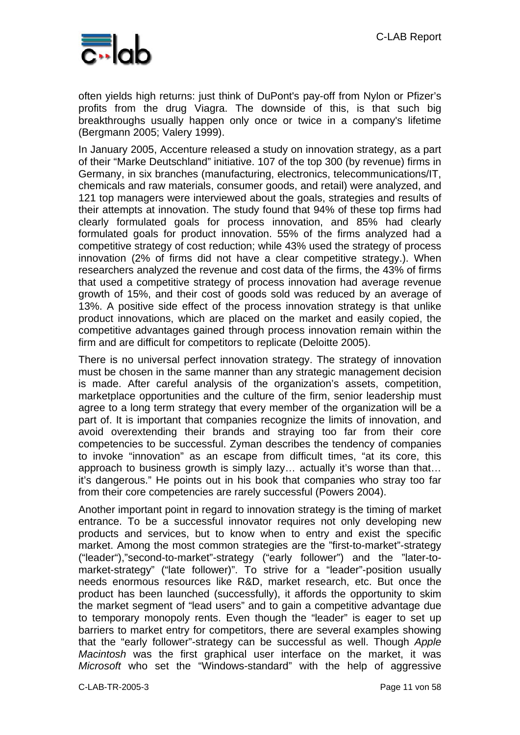

often yields high returns: just think of DuPont's pay-off from Nylon or Pfizer's profits from the drug Viagra. The downside of this, is that such big breakthroughs usually happen only once or twice in a company's lifetime (Bergmann 2005; Valery 1999).

In January 2005, Accenture released a study on innovation strategy, as a part of their "Marke Deutschland" initiative. 107 of the top 300 (by revenue) firms in Germany, in six branches (manufacturing, electronics, telecommunications/IT, chemicals and raw materials, consumer goods, and retail) were analyzed, and 121 top managers were interviewed about the goals, strategies and results of their attempts at innovation. The study found that 94% of these top firms had clearly formulated goals for process innovation, and 85% had clearly formulated goals for product innovation. 55% of the firms analyzed had a competitive strategy of cost reduction; while 43% used the strategy of process innovation (2% of firms did not have a clear competitive strategy.). When researchers analyzed the revenue and cost data of the firms, the 43% of firms that used a competitive strategy of process innovation had average revenue growth of 15%, and their cost of goods sold was reduced by an average of 13%. A positive side effect of the process innovation strategy is that unlike product innovations, which are placed on the market and easily copied, the competitive advantages gained through process innovation remain within the firm and are difficult for competitors to replicate (Deloitte 2005).

There is no universal perfect innovation strategy. The strategy of innovation must be chosen in the same manner than any strategic management decision is made. After careful analysis of the organization's assets, competition, marketplace opportunities and the culture of the firm, senior leadership must agree to a long term strategy that every member of the organization will be a part of. It is important that companies recognize the limits of innovation, and avoid overextending their brands and straying too far from their core competencies to be successful. Zyman describes the tendency of companies to invoke "innovation" as an escape from difficult times, "at its core, this approach to business growth is simply lazy… actually it's worse than that… it's dangerous." He points out in his book that companies who stray too far from their core competencies are rarely successful (Powers 2004).

Another important point in regard to innovation strategy is the timing of market entrance. To be a successful innovator requires not only developing new products and services, but to know when to entry and exist the specific market. Among the most common strategies are the "first-to-market"-strategy ("leader"),"second-to-market"-strategy ("early follower") and the "later-tomarket-strategy" ("late follower)". To strive for a "leader"-position usually needs enormous resources like R&D, market research, etc. But once the product has been launched (successfully), it affords the opportunity to skim the market segment of "lead users" and to gain a competitive advantage due to temporary monopoly rents. Even though the "leader" is eager to set up barriers to market entry for competitors, there are several examples showing that the "early follower"-strategy can be successful as well. Though *Apple Macintosh* was the first graphical user interface on the market, it was *Microsoft* who set the "Windows-standard" with the help of aggressive

C-LAB-TR-2005-3 Page 11 von 58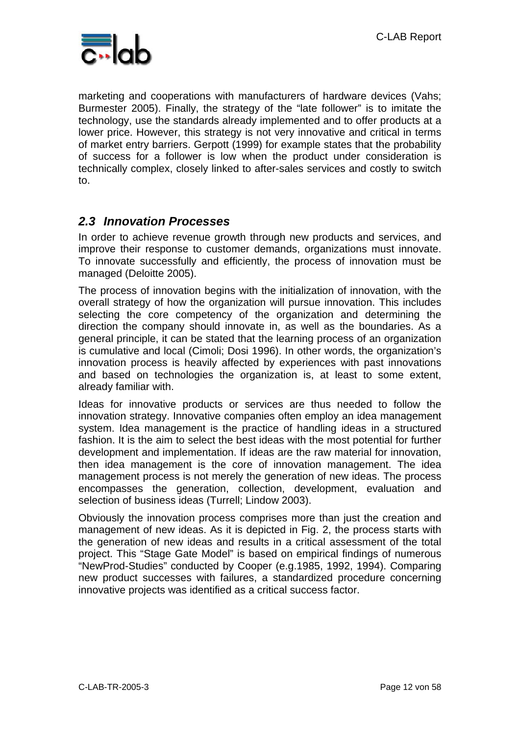

marketing and cooperations with manufacturers of hardware devices (Vahs; Burmester 2005). Finally, the strategy of the "late follower" is to imitate the technology, use the standards already implemented and to offer products at a lower price. However, this strategy is not very innovative and critical in terms of market entry barriers. Gerpott (1999) for example states that the probability of success for a follower is low when the product under consideration is technically complex, closely linked to after-sales services and costly to switch to.

### *2.3 Innovation Processes*

In order to achieve revenue growth through new products and services, and improve their response to customer demands, organizations must innovate. To innovate successfully and efficiently, the process of innovation must be managed (Deloitte 2005).

The process of innovation begins with the initialization of innovation, with the overall strategy of how the organization will pursue innovation. This includes selecting the core competency of the organization and determining the direction the company should innovate in, as well as the boundaries. As a general principle, it can be stated that the learning process of an organization is cumulative and local (Cimoli; Dosi 1996). In other words, the organization's innovation process is heavily affected by experiences with past innovations and based on technologies the organization is, at least to some extent, already familiar with.

Ideas for innovative products or services are thus needed to follow the innovation strategy. Innovative companies often employ an idea management system. Idea management is the practice of handling ideas in a structured fashion. It is the aim to select the best ideas with the most potential for further development and implementation. If ideas are the raw material for innovation, then idea management is the core of innovation management. The idea management process is not merely the generation of new ideas. The process encompasses the generation, collection, development, evaluation and selection of business ideas (Turrell; Lindow 2003).

Obviously the innovation process comprises more than just the creation and management of new ideas. As it is depicted in Fig. 2, the process starts with the generation of new ideas and results in a critical assessment of the total project. This "Stage Gate Model" is based on empirical findings of numerous "NewProd-Studies" conducted by Cooper (e.g.1985, 1992, 1994). Comparing new product successes with failures, a standardized procedure concerning innovative projects was identified as a critical success factor.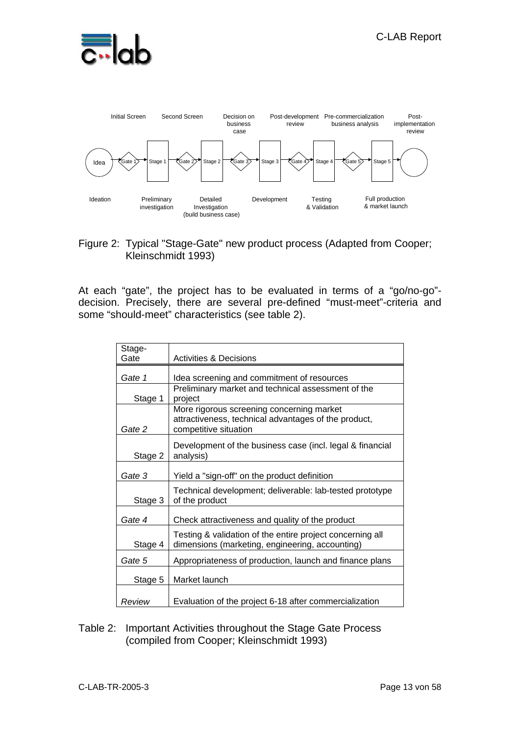



#### Figure 2: Typical "Stage-Gate" new product process (Adapted from Cooper; Kleinschmidt 1993)

At each "gate", the project has to be evaluated in terms of a "go/no-go" decision. Precisely, there are several pre-defined "must-meet"-criteria and some "should-meet" characteristics (see table 2).

| Stage-  |                                                                                                                            |
|---------|----------------------------------------------------------------------------------------------------------------------------|
| Gate    | <b>Activities &amp; Decisions</b>                                                                                          |
| Gate 1  | Idea screening and commitment of resources                                                                                 |
|         | Preliminary market and technical assessment of the                                                                         |
| Stage 1 | project                                                                                                                    |
| Gate 2  | More rigorous screening concerning market<br>attractiveness, technical advantages of the product,<br>competitive situation |
| Stage 2 | Development of the business case (incl. legal & financial<br>analysis)                                                     |
| Gate 3  | Yield a "sign-off" on the product definition                                                                               |
| Stage 3 | Technical development; deliverable: lab-tested prototype<br>of the product                                                 |
| Gate 4  | Check attractiveness and quality of the product                                                                            |
| Stage 4 | Testing & validation of the entire project concerning all<br>dimensions (marketing, engineering, accounting)               |
| Gate 5  | Appropriateness of production, launch and finance plans                                                                    |
| Stage 5 | Market launch                                                                                                              |
| Review  | Evaluation of the project 6-18 after commercialization                                                                     |

#### Table 2: Important Activities throughout the Stage Gate Process (compiled from Cooper; Kleinschmidt 1993)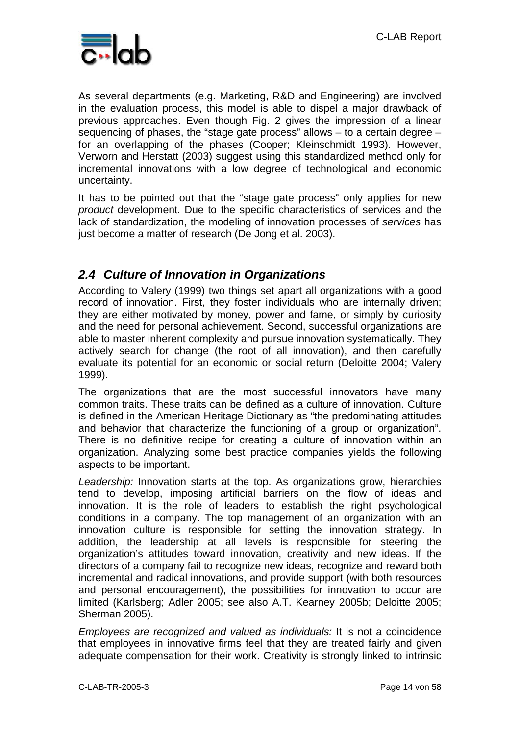

As several departments (e.g. Marketing, R&D and Engineering) are involved in the evaluation process, this model is able to dispel a major drawback of previous approaches. Even though Fig. 2 gives the impression of a linear sequencing of phases, the "stage gate process" allows – to a certain degree – for an overlapping of the phases (Cooper; Kleinschmidt 1993). However, Verworn and Herstatt (2003) suggest using this standardized method only for incremental innovations with a low degree of technological and economic uncertainty.

It has to be pointed out that the "stage gate process" only applies for new *product* development. Due to the specific characteristics of services and the lack of standardization, the modeling of innovation processes of *services* has just become a matter of research (De Jong et al. 2003).

### *2.4 Culture of Innovation in Organizations*

According to Valery (1999) two things set apart all organizations with a good record of innovation. First, they foster individuals who are internally driven; they are either motivated by money, power and fame, or simply by curiosity and the need for personal achievement. Second, successful organizations are able to master inherent complexity and pursue innovation systematically. They actively search for change (the root of all innovation), and then carefully evaluate its potential for an economic or social return (Deloitte 2004; Valery 1999).

The organizations that are the most successful innovators have many common traits. These traits can be defined as a culture of innovation. Culture is defined in the American Heritage Dictionary as "the predominating attitudes and behavior that characterize the functioning of a group or organization". There is no definitive recipe for creating a culture of innovation within an organization. Analyzing some best practice companies yields the following aspects to be important.

*Leadership:* Innovation starts at the top. As organizations grow, hierarchies tend to develop, imposing artificial barriers on the flow of ideas and innovation. It is the role of leaders to establish the right psychological conditions in a company. The top management of an organization with an innovation culture is responsible for setting the innovation strategy. In addition, the leadership at all levels is responsible for steering the organization's attitudes toward innovation, creativity and new ideas. If the directors of a company fail to recognize new ideas, recognize and reward both incremental and radical innovations, and provide support (with both resources and personal encouragement), the possibilities for innovation to occur are limited (Karlsberg; Adler 2005; see also A.T. Kearney 2005b; Deloitte 2005; Sherman 2005).

*Employees are recognized and valued as individuals:* It is not a coincidence that employees in innovative firms feel that they are treated fairly and given adequate compensation for their work. Creativity is strongly linked to intrinsic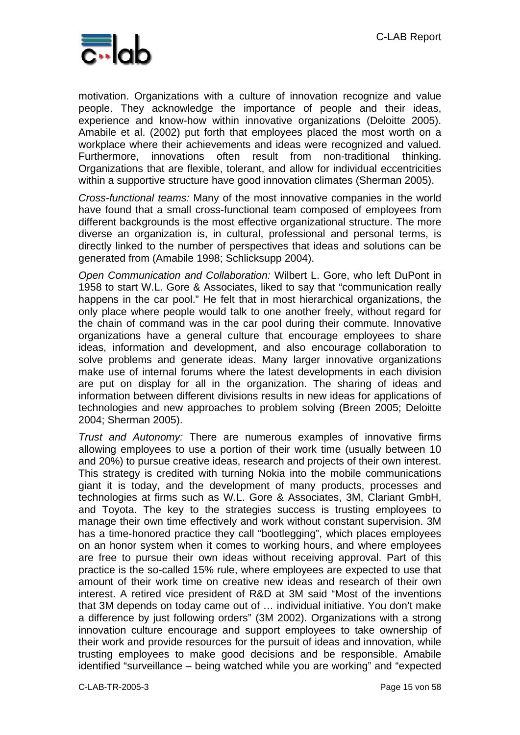

motivation. Organizations with a culture of innovation recognize and value people. They acknowledge the importance of people and their ideas, experience and know-how within innovative organizations (Deloitte 2005). Amabile et al. (2002) put forth that employees placed the most worth on a workplace where their achievements and ideas were recognized and valued. Furthermore, innovations often result from non-traditional thinking. Organizations that are flexible, tolerant, and allow for individual eccentricities within a supportive structure have good innovation climates (Sherman 2005).

*Cross-functional teams:* Many of the most innovative companies in the world have found that a small cross-functional team composed of employees from different backgrounds is the most effective organizational structure. The more diverse an organization is, in cultural, professional and personal terms, is directly linked to the number of perspectives that ideas and solutions can be generated from (Amabile 1998; Schlicksupp 2004).

*Open Communication and Collaboration:* Wilbert L. Gore, who left DuPont in 1958 to start W.L. Gore & Associates, liked to say that "communication really happens in the car pool." He felt that in most hierarchical organizations, the only place where people would talk to one another freely, without regard for the chain of command was in the car pool during their commute. Innovative organizations have a general culture that encourage employees to share ideas, information and development, and also encourage collaboration to solve problems and generate ideas. Many larger innovative organizations make use of internal forums where the latest developments in each division are put on display for all in the organization. The sharing of ideas and information between different divisions results in new ideas for applications of technologies and new approaches to problem solving (Breen 2005; Deloitte 2004; Sherman 2005).

*Trust and Autonomy:* There are numerous examples of innovative firms allowing employees to use a portion of their work time (usually between 10 and 20%) to pursue creative ideas, research and projects of their own interest. This strategy is credited with turning Nokia into the mobile communications giant it is today, and the development of many products, processes and technologies at firms such as W.L. Gore & Associates, 3M, Clariant GmbH, and Toyota. The key to the strategies success is trusting employees to manage their own time effectively and work without constant supervision. 3M has a time-honored practice they call "bootlegging", which places employees on an honor system when it comes to working hours, and where employees are free to pursue their own ideas without receiving approval. Part of this practice is the so-called 15% rule, where employees are expected to use that amount of their work time on creative new ideas and research of their own interest. A retired vice president of R&D at 3M said "Most of the inventions that 3M depends on today came out of … individual initiative. You don't make a difference by just following orders" (3M 2002). Organizations with a strong innovation culture encourage and support employees to take ownership of their work and provide resources for the pursuit of ideas and innovation, while trusting employees to make good decisions and be responsible. Amabile identified "surveillance – being watched while you are working" and "expected

C-LAB-TR-2005-3 Page 15 von 58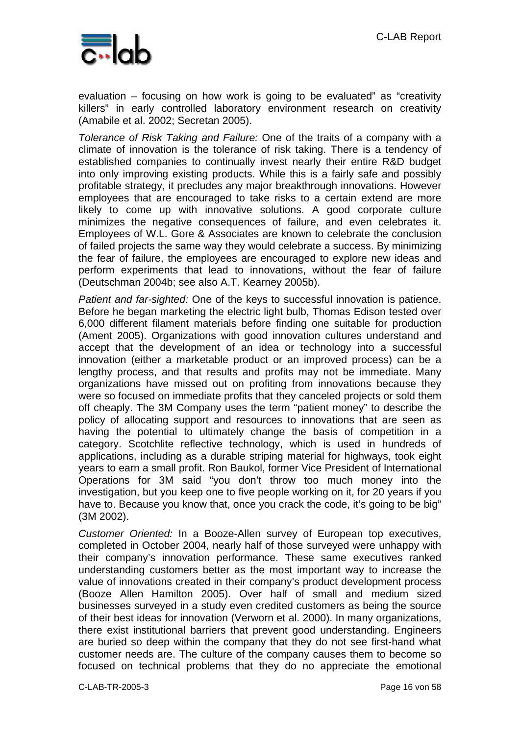

evaluation – focusing on how work is going to be evaluated" as "creativity killers" in early controlled laboratory environment research on creativity (Amabile et al. 2002; Secretan 2005).

*Tolerance of Risk Taking and Failure:* One of the traits of a company with a climate of innovation is the tolerance of risk taking. There is a tendency of established companies to continually invest nearly their entire R&D budget into only improving existing products. While this is a fairly safe and possibly profitable strategy, it precludes any major breakthrough innovations. However employees that are encouraged to take risks to a certain extend are more likely to come up with innovative solutions. A good corporate culture minimizes the negative consequences of failure, and even celebrates it. Employees of W.L. Gore & Associates are known to celebrate the conclusion of failed projects the same way they would celebrate a success. By minimizing the fear of failure, the employees are encouraged to explore new ideas and perform experiments that lead to innovations, without the fear of failure (Deutschman 2004b; see also A.T. Kearney 2005b).

*Patient and far-sighted:* One of the keys to successful innovation is patience. Before he began marketing the electric light bulb, Thomas Edison tested over 6,000 different filament materials before finding one suitable for production (Ament 2005). Organizations with good innovation cultures understand and accept that the development of an idea or technology into a successful innovation (either a marketable product or an improved process) can be a lengthy process, and that results and profits may not be immediate. Many organizations have missed out on profiting from innovations because they were so focused on immediate profits that they canceled projects or sold them off cheaply. The 3M Company uses the term "patient money" to describe the policy of allocating support and resources to innovations that are seen as having the potential to ultimately change the basis of competition in a category. Scotchlite reflective technology, which is used in hundreds of applications, including as a durable striping material for highways, took eight years to earn a small profit. Ron Baukol, former Vice President of International Operations for 3M said "you don't throw too much money into the investigation, but you keep one to five people working on it, for 20 years if you have to. Because you know that, once you crack the code, it's going to be big" (3M 2002).

*Customer Oriented:* In a Booze-Allen survey of European top executives, completed in October 2004, nearly half of those surveyed were unhappy with their company's innovation performance. These same executives ranked understanding customers better as the most important way to increase the value of innovations created in their company's product development process (Booze Allen Hamilton 2005). Over half of small and medium sized businesses surveyed in a study even credited customers as being the source of their best ideas for innovation (Verworn et al. 2000). In many organizations, there exist institutional barriers that prevent good understanding. Engineers are buried so deep within the company that they do not see first-hand what customer needs are. The culture of the company causes them to become so focused on technical problems that they do no appreciate the emotional

C-LAB-TR-2005-3 Page 16 von 58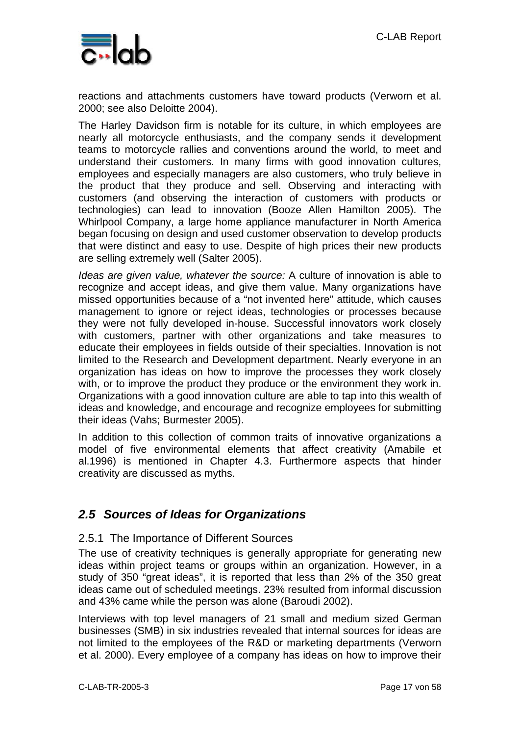

reactions and attachments customers have toward products (Verworn et al. 2000; see also Deloitte 2004).

The Harley Davidson firm is notable for its culture, in which employees are nearly all motorcycle enthusiasts, and the company sends it development teams to motorcycle rallies and conventions around the world, to meet and understand their customers. In many firms with good innovation cultures, employees and especially managers are also customers, who truly believe in the product that they produce and sell. Observing and interacting with customers (and observing the interaction of customers with products or technologies) can lead to innovation (Booze Allen Hamilton 2005). The Whirlpool Company, a large home appliance manufacturer in North America began focusing on design and used customer observation to develop products that were distinct and easy to use. Despite of high prices their new products are selling extremely well (Salter 2005).

*Ideas are given value, whatever the source:* A culture of innovation is able to recognize and accept ideas, and give them value. Many organizations have missed opportunities because of a "not invented here" attitude, which causes management to ignore or reject ideas, technologies or processes because they were not fully developed in-house. Successful innovators work closely with customers, partner with other organizations and take measures to educate their employees in fields outside of their specialties. Innovation is not limited to the Research and Development department. Nearly everyone in an organization has ideas on how to improve the processes they work closely with, or to improve the product they produce or the environment they work in. Organizations with a good innovation culture are able to tap into this wealth of ideas and knowledge, and encourage and recognize employees for submitting their ideas (Vahs; Burmester 2005).

In addition to this collection of common traits of innovative organizations a model of five environmental elements that affect creativity (Amabile et al.1996) is mentioned in Chapter 4.3. Furthermore aspects that hinder creativity are discussed as myths.

### *2.5 Sources of Ideas for Organizations*

#### 2.5.1 The Importance of Different Sources

The use of creativity techniques is generally appropriate for generating new ideas within project teams or groups within an organization. However, in a study of 350 "great ideas", it is reported that less than 2% of the 350 great ideas came out of scheduled meetings. 23% resulted from informal discussion and 43% came while the person was alone (Baroudi 2002).

Interviews with top level managers of 21 small and medium sized German businesses (SMB) in six industries revealed that internal sources for ideas are not limited to the employees of the R&D or marketing departments (Verworn et al. 2000). Every employee of a company has ideas on how to improve their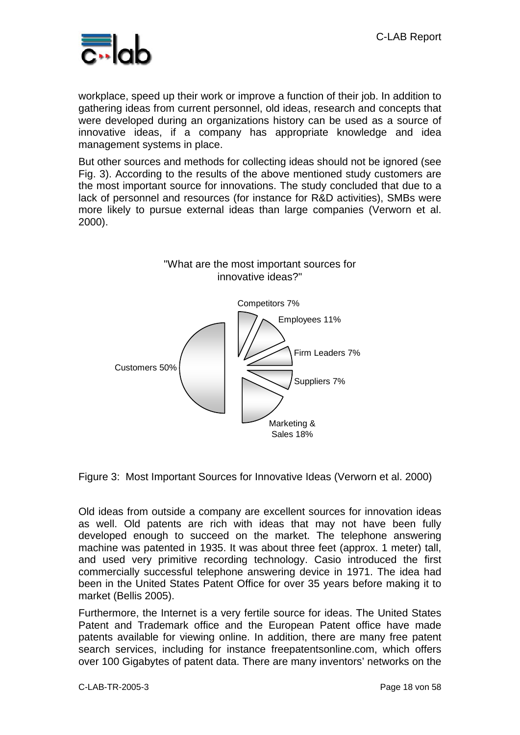

workplace, speed up their work or improve a function of their job. In addition to gathering ideas from current personnel, old ideas, research and concepts that were developed during an organizations history can be used as a source of innovative ideas, if a company has appropriate knowledge and idea management systems in place.

But other sources and methods for collecting ideas should not be ignored (see Fig. 3). According to the results of the above mentioned study customers are the most important source for innovations. The study concluded that due to a lack of personnel and resources (for instance for R&D activities), SMBs were more likely to pursue external ideas than large companies (Verworn et al. 2000).



Figure 3: Most Important Sources for Innovative Ideas (Verworn et al. 2000)

Old ideas from outside a company are excellent sources for innovation ideas as well. Old patents are rich with ideas that may not have been fully developed enough to succeed on the market. The telephone answering machine was patented in 1935. It was about three feet (approx. 1 meter) tall, and used very primitive recording technology. Casio introduced the first commercially successful telephone answering device in 1971. The idea had been in the United States Patent Office for over 35 years before making it to market (Bellis 2005).

Furthermore, the Internet is a very fertile source for ideas. The United States Patent and Trademark office and the European Patent office have made patents available for viewing online. In addition, there are many free patent search services, including for instance freepatentsonline.com, which offers over 100 Gigabytes of patent data. There are many inventors' networks on the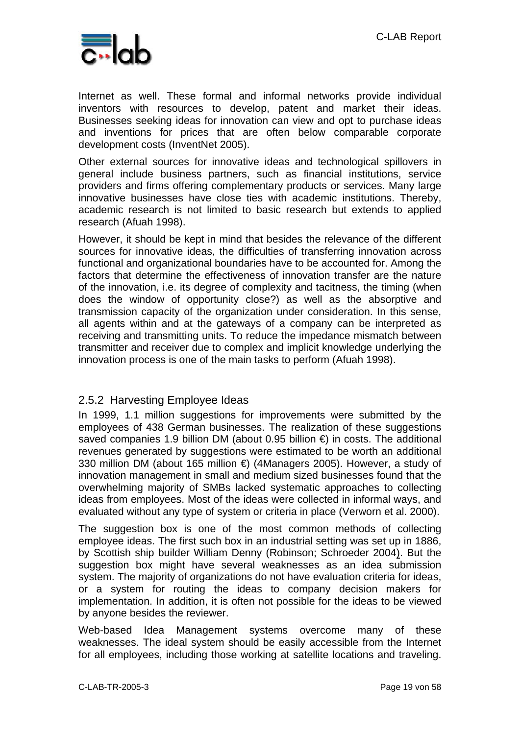

Internet as well. These formal and informal networks provide individual inventors with resources to develop, patent and market their ideas. Businesses seeking ideas for innovation can view and opt to purchase ideas and inventions for prices that are often below comparable corporate development costs (InventNet 2005).

Other external sources for innovative ideas and technological spillovers in general include business partners, such as financial institutions, service providers and firms offering complementary products or services. Many large innovative businesses have close ties with academic institutions. Thereby, academic research is not limited to basic research but extends to applied research (Afuah 1998).

However, it should be kept in mind that besides the relevance of the different sources for innovative ideas, the difficulties of transferring innovation across functional and organizational boundaries have to be accounted for. Among the factors that determine the effectiveness of innovation transfer are the nature of the innovation, i.e. its degree of complexity and tacitness, the timing (when does the window of opportunity close?) as well as the absorptive and transmission capacity of the organization under consideration. In this sense, all agents within and at the gateways of a company can be interpreted as receiving and transmitting units. To reduce the impedance mismatch between transmitter and receiver due to complex and implicit knowledge underlying the innovation process is one of the main tasks to perform (Afuah 1998).

#### 2.5.2 Harvesting Employee Ideas

In 1999, 1.1 million suggestions for improvements were submitted by the employees of 438 German businesses. The realization of these suggestions saved companies 1.9 billion DM (about 0.95 billion €) in costs. The additional revenues generated by suggestions were estimated to be worth an additional 330 million DM (about 165 million €) (4Managers 2005). However, a study of innovation management in small and medium sized businesses found that the overwhelming majority of SMBs lacked systematic approaches to collecting ideas from employees. Most of the ideas were collected in informal ways, and evaluated without any type of system or criteria in place (Verworn et al. 2000).

The suggestion box is one of the most common methods of collecting employee ideas. The first such box in an industrial setting was set up in 1886, by Scottish ship builder William Denny (Robinson; Schroeder 2004). But the suggestion box might have several weaknesses as an idea submission system. The majority of organizations do not have evaluation criteria for ideas, or a system for routing the ideas to company decision makers for implementation. In addition, it is often not possible for the ideas to be viewed by anyone besides the reviewer.

Web-based Idea Management systems overcome many of these weaknesses. The ideal system should be easily accessible from the Internet for all employees, including those working at satellite locations and traveling.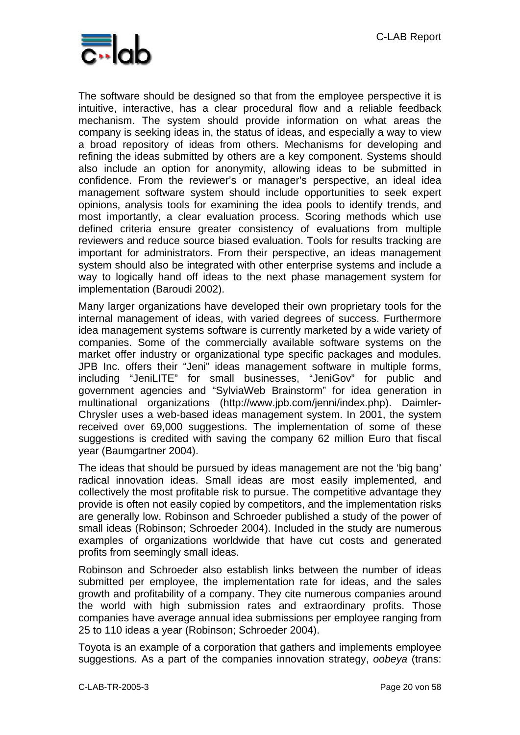

The software should be designed so that from the employee perspective it is intuitive, interactive, has a clear procedural flow and a reliable feedback mechanism. The system should provide information on what areas the company is seeking ideas in, the status of ideas, and especially a way to view a broad repository of ideas from others. Mechanisms for developing and refining the ideas submitted by others are a key component. Systems should also include an option for anonymity, allowing ideas to be submitted in confidence. From the reviewer's or manager's perspective, an ideal idea management software system should include opportunities to seek expert opinions, analysis tools for examining the idea pools to identify trends, and most importantly, a clear evaluation process. Scoring methods which use defined criteria ensure greater consistency of evaluations from multiple reviewers and reduce source biased evaluation. Tools for results tracking are important for administrators. From their perspective, an ideas management system should also be integrated with other enterprise systems and include a way to logically hand off ideas to the next phase management system for implementation (Baroudi 2002).

Many larger organizations have developed their own proprietary tools for the internal management of ideas, with varied degrees of success. Furthermore idea management systems software is currently marketed by a wide variety of companies. Some of the commercially available software systems on the market offer industry or organizational type specific packages and modules. JPB Inc. offers their "Jeni" ideas management software in multiple forms, including "JeniLITE" for small businesses, "JeniGov" for public and government agencies and "SylviaWeb Brainstorm" for idea generation in multinational organizations (http://www.jpb.com/jenni/index.php). Daimler-Chrysler uses a web-based ideas management system. In 2001, the system received over 69,000 suggestions. The implementation of some of these suggestions is credited with saving the company 62 million Euro that fiscal year (Baumgartner 2004).

The ideas that should be pursued by ideas management are not the 'big bang' radical innovation ideas. Small ideas are most easily implemented, and collectively the most profitable risk to pursue. The competitive advantage they provide is often not easily copied by competitors, and the implementation risks are generally low. Robinson and Schroeder published a study of the power of small ideas (Robinson; Schroeder 2004). Included in the study are numerous examples of organizations worldwide that have cut costs and generated profits from seemingly small ideas.

Robinson and Schroeder also establish links between the number of ideas submitted per employee, the implementation rate for ideas, and the sales growth and profitability of a company. They cite numerous companies around the world with high submission rates and extraordinary profits. Those companies have average annual idea submissions per employee ranging from 25 to 110 ideas a year (Robinson; Schroeder 2004).

Toyota is an example of a corporation that gathers and implements employee suggestions. As a part of the companies innovation strategy, *oobeya* (trans: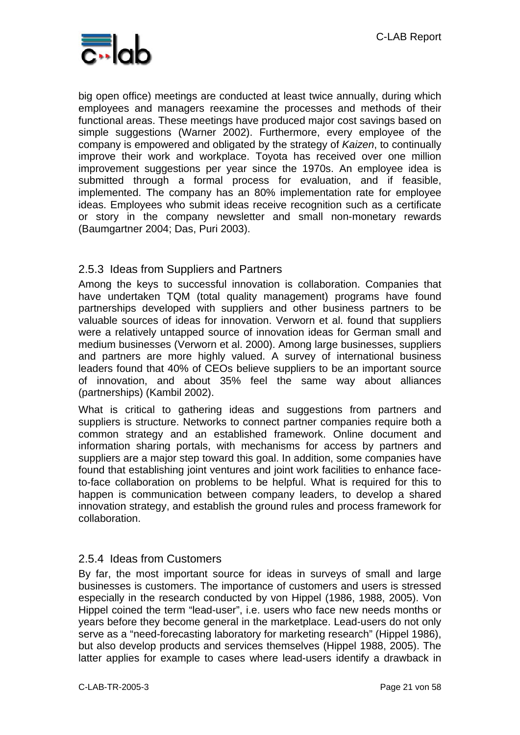

big open office) meetings are conducted at least twice annually, during which employees and managers reexamine the processes and methods of their functional areas. These meetings have produced major cost savings based on simple suggestions (Warner 2002). Furthermore, every employee of the company is empowered and obligated by the strategy of *Kaizen*, to continually improve their work and workplace. Toyota has received over one million improvement suggestions per year since the 1970s. An employee idea is submitted through a formal process for evaluation, and if feasible, implemented. The company has an 80% implementation rate for employee ideas. Employees who submit ideas receive recognition such as a certificate or story in the company newsletter and small non-monetary rewards (Baumgartner 2004; Das, Puri 2003).

#### 2.5.3 Ideas from Suppliers and Partners

Among the keys to successful innovation is collaboration. Companies that have undertaken TQM (total quality management) programs have found partnerships developed with suppliers and other business partners to be valuable sources of ideas for innovation. Verworn et al. found that suppliers were a relatively untapped source of innovation ideas for German small and medium businesses (Verworn et al. 2000). Among large businesses, suppliers and partners are more highly valued. A survey of international business leaders found that 40% of CEOs believe suppliers to be an important source of innovation, and about 35% feel the same way about alliances (partnerships) (Kambil 2002).

What is critical to gathering ideas and suggestions from partners and suppliers is structure. Networks to connect partner companies require both a common strategy and an established framework. Online document and information sharing portals, with mechanisms for access by partners and suppliers are a major step toward this goal. In addition, some companies have found that establishing joint ventures and joint work facilities to enhance faceto-face collaboration on problems to be helpful. What is required for this to happen is communication between company leaders, to develop a shared innovation strategy, and establish the ground rules and process framework for collaboration.

#### 2.5.4 Ideas from Customers

By far, the most important source for ideas in surveys of small and large businesses is customers. The importance of customers and users is stressed especially in the research conducted by von Hippel (1986, 1988, 2005). Von Hippel coined the term "lead-user", i.e. users who face new needs months or years before they become general in the marketplace. Lead-users do not only serve as a "need-forecasting laboratory for marketing research" (Hippel 1986), but also develop products and services themselves (Hippel 1988, 2005). The latter applies for example to cases where lead-users identify a drawback in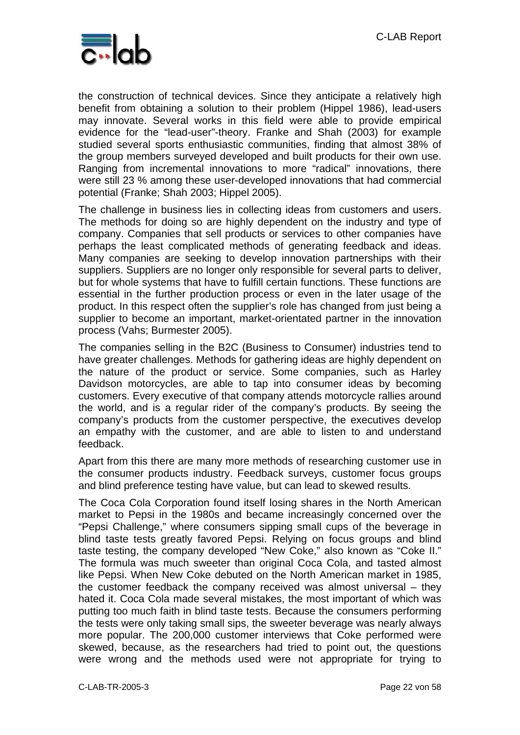

the construction of technical devices. Since they anticipate a relatively high benefit from obtaining a solution to their problem (Hippel 1986), lead-users may innovate. Several works in this field were able to provide empirical evidence for the "lead-user"-theory. Franke and Shah (2003) for example studied several sports enthusiastic communities, finding that almost 38% of the group members surveyed developed and built products for their own use. Ranging from incremental innovations to more "radical" innovations, there were still 23 % among these user-developed innovations that had commercial potential (Franke; Shah 2003; Hippel 2005).

The challenge in business lies in collecting ideas from customers and users. The methods for doing so are highly dependent on the industry and type of company. Companies that sell products or services to other companies have perhaps the least complicated methods of generating feedback and ideas. Many companies are seeking to develop innovation partnerships with their suppliers. Suppliers are no longer only responsible for several parts to deliver, but for whole systems that have to fulfill certain functions. These functions are essential in the further production process or even in the later usage of the product. In this respect often the supplier's role has changed from just being a supplier to become an important, market-orientated partner in the innovation process (Vahs; Burmester 2005).

The companies selling in the B2C (Business to Consumer) industries tend to have greater challenges. Methods for gathering ideas are highly dependent on the nature of the product or service. Some companies, such as Harley Davidson motorcycles, are able to tap into consumer ideas by becoming customers. Every executive of that company attends motorcycle rallies around the world, and is a regular rider of the company's products. By seeing the company's products from the customer perspective, the executives develop an empathy with the customer, and are able to listen to and understand feedback.

Apart from this there are many more methods of researching customer use in the consumer products industry. Feedback surveys, customer focus groups and blind preference testing have value, but can lead to skewed results.

The Coca Cola Corporation found itself losing shares in the North American market to Pepsi in the 1980s and became increasingly concerned over the "Pepsi Challenge," where consumers sipping small cups of the beverage in blind taste tests greatly favored Pepsi. Relying on focus groups and blind taste testing, the company developed "New Coke," also known as "Coke II." The formula was much sweeter than original Coca Cola, and tasted almost like Pepsi. When New Coke debuted on the North American market in 1985, the customer feedback the company received was almost universal – they hated it. Coca Cola made several mistakes, the most important of which was putting too much faith in blind taste tests. Because the consumers performing the tests were only taking small sips, the sweeter beverage was nearly always more popular. The 200,000 customer interviews that Coke performed were skewed, because, as the researchers had tried to point out, the questions were wrong and the methods used were not appropriate for trying to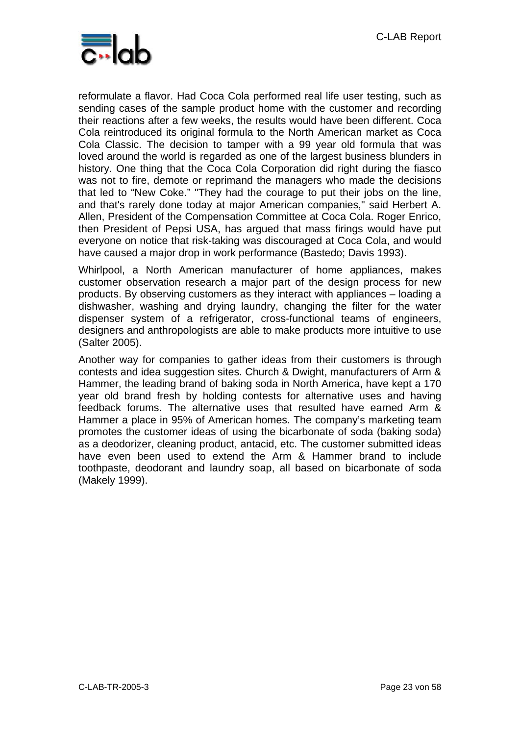

reformulate a flavor. Had Coca Cola performed real life user testing, such as sending cases of the sample product home with the customer and recording their reactions after a few weeks, the results would have been different. Coca Cola reintroduced its original formula to the North American market as Coca Cola Classic. The decision to tamper with a 99 year old formula that was loved around the world is regarded as one of the largest business blunders in history. One thing that the Coca Cola Corporation did right during the fiasco was not to fire, demote or reprimand the managers who made the decisions that led to "New Coke." "They had the courage to put their jobs on the line, and that's rarely done today at major American companies," said Herbert A. Allen, President of the Compensation Committee at Coca Cola. Roger Enrico, then President of Pepsi USA, has argued that mass firings would have put everyone on notice that risk-taking was discouraged at Coca Cola, and would have caused a major drop in work performance (Bastedo; Davis 1993).

Whirlpool, a North American manufacturer of home appliances, makes customer observation research a major part of the design process for new products. By observing customers as they interact with appliances – loading a dishwasher, washing and drying laundry, changing the filter for the water dispenser system of a refrigerator, cross-functional teams of engineers, designers and anthropologists are able to make products more intuitive to use (Salter 2005).

Another way for companies to gather ideas from their customers is through contests and idea suggestion sites. Church & Dwight, manufacturers of Arm & Hammer, the leading brand of baking soda in North America, have kept a 170 year old brand fresh by holding contests for alternative uses and having feedback forums. The alternative uses that resulted have earned Arm & Hammer a place in 95% of American homes. The company's marketing team promotes the customer ideas of using the bicarbonate of soda (baking soda) as a deodorizer, cleaning product, antacid, etc. The customer submitted ideas have even been used to extend the Arm & Hammer brand to include toothpaste, deodorant and laundry soap, all based on bicarbonate of soda (Makely 1999).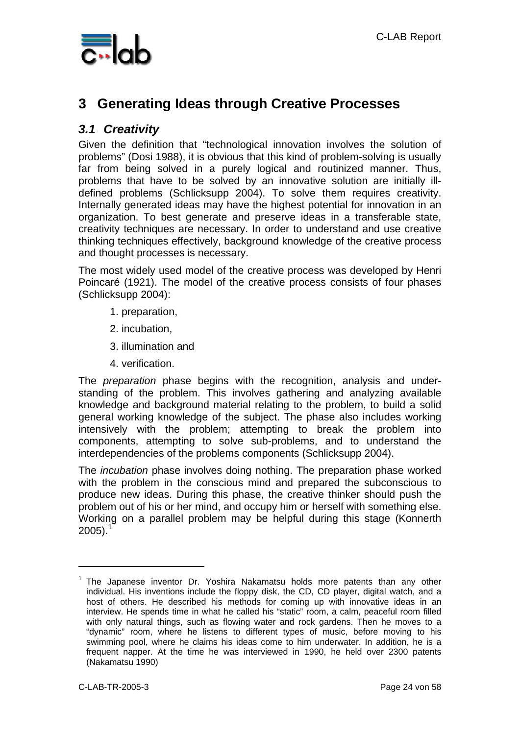

## **3 Generating Ideas through Creative Processes**

### *3.1 Creativity*

Given the definition that "technological innovation involves the solution of problems" (Dosi 1988), it is obvious that this kind of problem-solving is usually far from being solved in a purely logical and routinized manner. Thus, problems that have to be solved by an innovative solution are initially illdefined problems (Schlicksupp 2004). To solve them requires creativity. Internally generated ideas may have the highest potential for innovation in an organization. To best generate and preserve ideas in a transferable state, creativity techniques are necessary. In order to understand and use creative thinking techniques effectively, background knowledge of the creative process and thought processes is necessary.

The most widely used model of the creative process was developed by Henri Poincaré (1921). The model of the creative process consists of four phases (Schlicksupp 2004):

- 1. preparation,
- 2. incubation,
- 3. illumination and
- 4. verification.

The *preparation* phase begins with the recognition, analysis and understanding of the problem. This involves gathering and analyzing available knowledge and background material relating to the problem, to build a solid general working knowledge of the subject. The phase also includes working intensively with the problem; attempting to break the problem into components, attempting to solve sub-problems, and to understand the interdependencies of the problems components (Schlicksupp 2004).

The *incubation* phase involves doing nothing. The preparation phase worked with the problem in the conscious mind and prepared the subconscious to produce new ideas. During this phase, the creative thinker should push the problem out of his or her mind, and occupy him or herself with something else. Working on a parallel problem may be helpful during this stage (Konnerth  $2005$ ).<sup>1</sup>

 $\overline{a}$ 

<sup>&</sup>lt;sup>1</sup> The Japanese inventor Dr. Yoshira Nakamatsu holds more patents than any other individual. His inventions include the floppy disk, the CD, CD player, digital watch, and a host of others. He described his methods for coming up with innovative ideas in an interview. He spends time in what he called his "static" room, a calm, peaceful room filled with only natural things, such as flowing water and rock gardens. Then he moves to a "dynamic" room, where he listens to different types of music, before moving to his swimming pool, where he claims his ideas come to him underwater. In addition, he is a frequent napper. At the time he was interviewed in 1990, he held over 2300 patents (Nakamatsu 1990)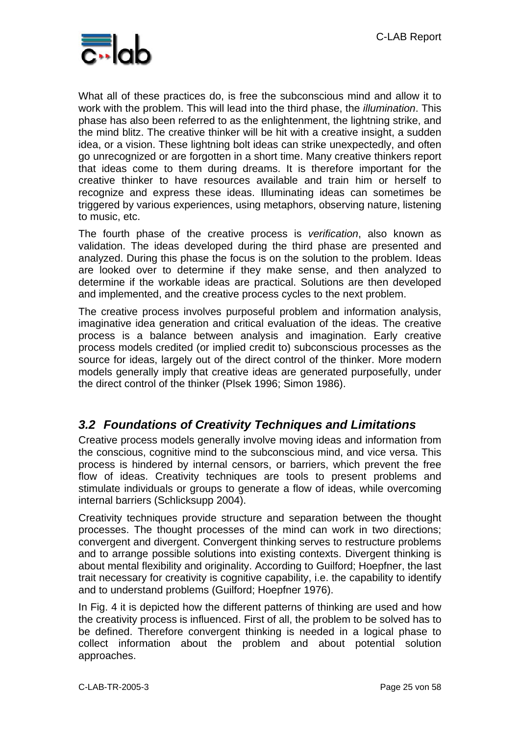

What all of these practices do, is free the subconscious mind and allow it to work with the problem. This will lead into the third phase, the *illumination*. This phase has also been referred to as the enlightenment, the lightning strike, and the mind blitz. The creative thinker will be hit with a creative insight, a sudden idea, or a vision. These lightning bolt ideas can strike unexpectedly, and often go unrecognized or are forgotten in a short time. Many creative thinkers report that ideas come to them during dreams. It is therefore important for the creative thinker to have resources available and train him or herself to recognize and express these ideas. Illuminating ideas can sometimes be triggered by various experiences, using metaphors, observing nature, listening to music, etc.

The fourth phase of the creative process is *verification*, also known as validation. The ideas developed during the third phase are presented and analyzed. During this phase the focus is on the solution to the problem. Ideas are looked over to determine if they make sense, and then analyzed to determine if the workable ideas are practical. Solutions are then developed and implemented, and the creative process cycles to the next problem.

The creative process involves purposeful problem and information analysis, imaginative idea generation and critical evaluation of the ideas. The creative process is a balance between analysis and imagination. Early creative process models credited (or implied credit to) subconscious processes as the source for ideas, largely out of the direct control of the thinker. More modern models generally imply that creative ideas are generated purposefully, under the direct control of the thinker (Plsek 1996; Simon 1986).

### *3.2 Foundations of Creativity Techniques and Limitations*

Creative process models generally involve moving ideas and information from the conscious, cognitive mind to the subconscious mind, and vice versa. This process is hindered by internal censors, or barriers, which prevent the free flow of ideas. Creativity techniques are tools to present problems and stimulate individuals or groups to generate a flow of ideas, while overcoming internal barriers (Schlicksupp 2004).

Creativity techniques provide structure and separation between the thought processes. The thought processes of the mind can work in two directions; convergent and divergent. Convergent thinking serves to restructure problems and to arrange possible solutions into existing contexts. Divergent thinking is about mental flexibility and originality. According to Guilford; Hoepfner, the last trait necessary for creativity is cognitive capability, i.e. the capability to identify and to understand problems (Guilford; Hoepfner 1976).

In Fig. 4 it is depicted how the different patterns of thinking are used and how the creativity process is influenced. First of all, the problem to be solved has to be defined. Therefore convergent thinking is needed in a logical phase to collect information about the problem and about potential solution approaches.

C-LAB-TR-2005-3 Page 25 von 58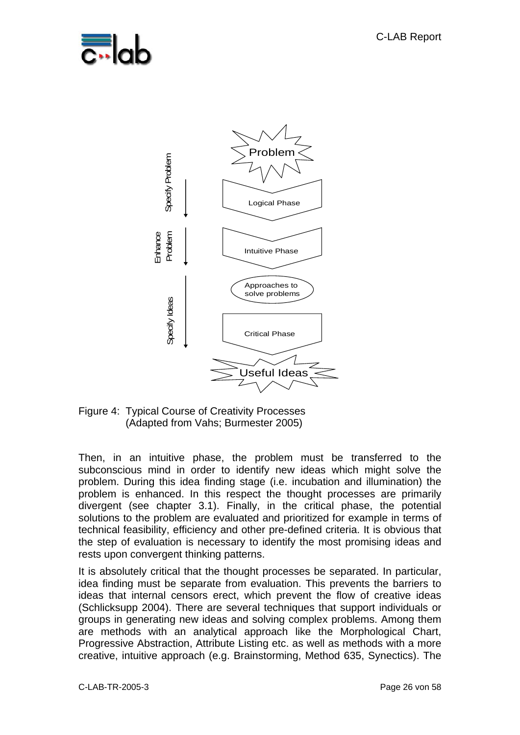



Figure 4: Typical Course of Creativity Processes (Adapted from Vahs; Burmester 2005)

Then, in an intuitive phase, the problem must be transferred to the subconscious mind in order to identify new ideas which might solve the problem. During this idea finding stage (i.e. incubation and illumination) the problem is enhanced. In this respect the thought processes are primarily divergent (see chapter 3.1). Finally, in the critical phase, the potential solutions to the problem are evaluated and prioritized for example in terms of technical feasibility, efficiency and other pre-defined criteria. It is obvious that the step of evaluation is necessary to identify the most promising ideas and rests upon convergent thinking patterns.

It is absolutely critical that the thought processes be separated. In particular, idea finding must be separate from evaluation. This prevents the barriers to ideas that internal censors erect, which prevent the flow of creative ideas (Schlicksupp 2004). There are several techniques that support individuals or groups in generating new ideas and solving complex problems. Among them are methods with an analytical approach like the Morphological Chart, Progressive Abstraction, Attribute Listing etc. as well as methods with a more creative, intuitive approach (e.g. Brainstorming, Method 635, Synectics). The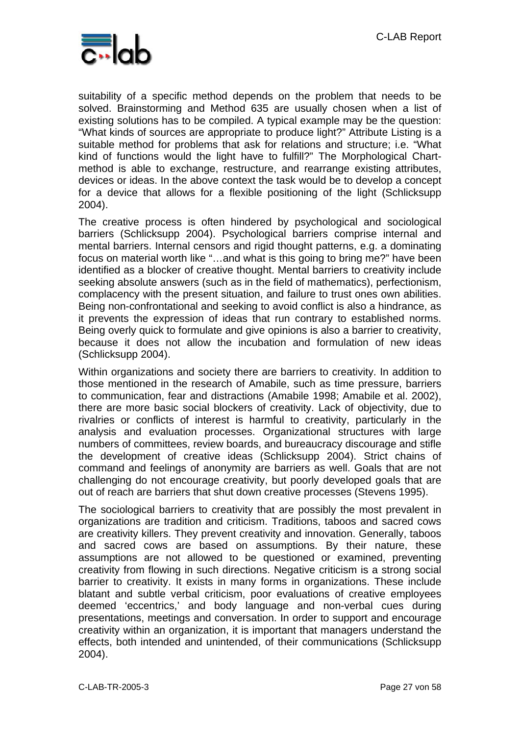

suitability of a specific method depends on the problem that needs to be solved. Brainstorming and Method 635 are usually chosen when a list of existing solutions has to be compiled. A typical example may be the question: "What kinds of sources are appropriate to produce light?" Attribute Listing is a suitable method for problems that ask for relations and structure; i.e. "What kind of functions would the light have to fulfill?" The Morphological Chartmethod is able to exchange, restructure, and rearrange existing attributes, devices or ideas. In the above context the task would be to develop a concept for a device that allows for a flexible positioning of the light (Schlicksupp 2004).

The creative process is often hindered by psychological and sociological barriers (Schlicksupp 2004). Psychological barriers comprise internal and mental barriers. Internal censors and rigid thought patterns, e.g. a dominating focus on material worth like "…and what is this going to bring me?" have been identified as a blocker of creative thought. Mental barriers to creativity include seeking absolute answers (such as in the field of mathematics), perfectionism, complacency with the present situation, and failure to trust ones own abilities. Being non-confrontational and seeking to avoid conflict is also a hindrance, as it prevents the expression of ideas that run contrary to established norms. Being overly quick to formulate and give opinions is also a barrier to creativity, because it does not allow the incubation and formulation of new ideas (Schlicksupp 2004).

Within organizations and society there are barriers to creativity. In addition to those mentioned in the research of Amabile, such as time pressure, barriers to communication, fear and distractions (Amabile 1998; Amabile et al. 2002), there are more basic social blockers of creativity. Lack of objectivity, due to rivalries or conflicts of interest is harmful to creativity, particularly in the analysis and evaluation processes. Organizational structures with large numbers of committees, review boards, and bureaucracy discourage and stifle the development of creative ideas (Schlicksupp 2004). Strict chains of command and feelings of anonymity are barriers as well. Goals that are not challenging do not encourage creativity, but poorly developed goals that are out of reach are barriers that shut down creative processes (Stevens 1995).

The sociological barriers to creativity that are possibly the most prevalent in organizations are tradition and criticism. Traditions, taboos and sacred cows are creativity killers. They prevent creativity and innovation. Generally, taboos and sacred cows are based on assumptions. By their nature, these assumptions are not allowed to be questioned or examined, preventing creativity from flowing in such directions. Negative criticism is a strong social barrier to creativity. It exists in many forms in organizations. These include blatant and subtle verbal criticism, poor evaluations of creative employees deemed 'eccentrics,' and body language and non-verbal cues during presentations, meetings and conversation. In order to support and encourage creativity within an organization, it is important that managers understand the effects, both intended and unintended, of their communications (Schlicksupp 2004).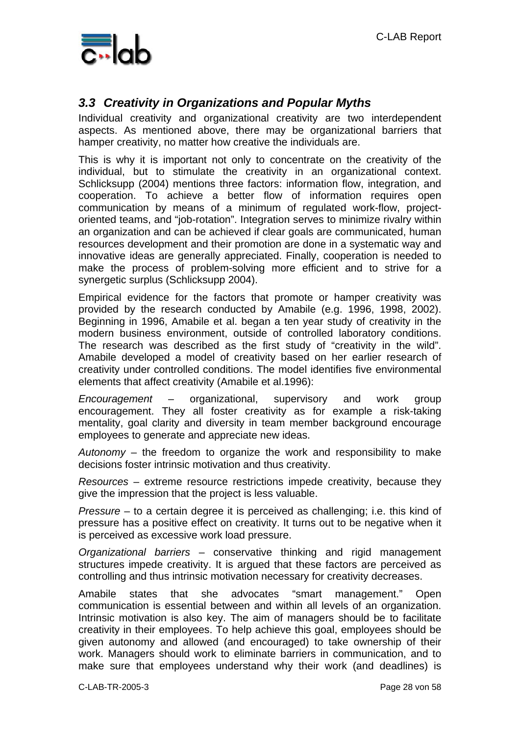

### *3.3 Creativity in Organizations and Popular Myths*

Individual creativity and organizational creativity are two interdependent aspects. As mentioned above, there may be organizational barriers that hamper creativity, no matter how creative the individuals are.

This is why it is important not only to concentrate on the creativity of the individual, but to stimulate the creativity in an organizational context. Schlicksupp (2004) mentions three factors: information flow, integration, and cooperation. To achieve a better flow of information requires open communication by means of a minimum of regulated work-flow, projectoriented teams, and "job-rotation". Integration serves to minimize rivalry within an organization and can be achieved if clear goals are communicated, human resources development and their promotion are done in a systematic way and innovative ideas are generally appreciated. Finally, cooperation is needed to make the process of problem-solving more efficient and to strive for a synergetic surplus (Schlicksupp 2004).

Empirical evidence for the factors that promote or hamper creativity was provided by the research conducted by Amabile (e.g. 1996, 1998, 2002). Beginning in 1996, Amabile et al. began a ten year study of creativity in the modern business environment, outside of controlled laboratory conditions. The research was described as the first study of "creativity in the wild". Amabile developed a model of creativity based on her earlier research of creativity under controlled conditions. The model identifies five environmental elements that affect creativity (Amabile et al.1996):

*Encouragement* – organizational, supervisory and work group encouragement. They all foster creativity as for example a risk-taking mentality, goal clarity and diversity in team member background encourage employees to generate and appreciate new ideas.

*Autonomy* – the freedom to organize the work and responsibility to make decisions foster intrinsic motivation and thus creativity.

*Resources* – extreme resource restrictions impede creativity, because they give the impression that the project is less valuable.

*Pressure* – to a certain degree it is perceived as challenging; i.e. this kind of pressure has a positive effect on creativity. It turns out to be negative when it is perceived as excessive work load pressure.

*Organizational barriers* – conservative thinking and rigid management structures impede creativity. It is argued that these factors are perceived as controlling and thus intrinsic motivation necessary for creativity decreases.

Amabile states that she advocates "smart management." Open communication is essential between and within all levels of an organization. Intrinsic motivation is also key. The aim of managers should be to facilitate creativity in their employees. To help achieve this goal, employees should be given autonomy and allowed (and encouraged) to take ownership of their work. Managers should work to eliminate barriers in communication, and to make sure that employees understand why their work (and deadlines) is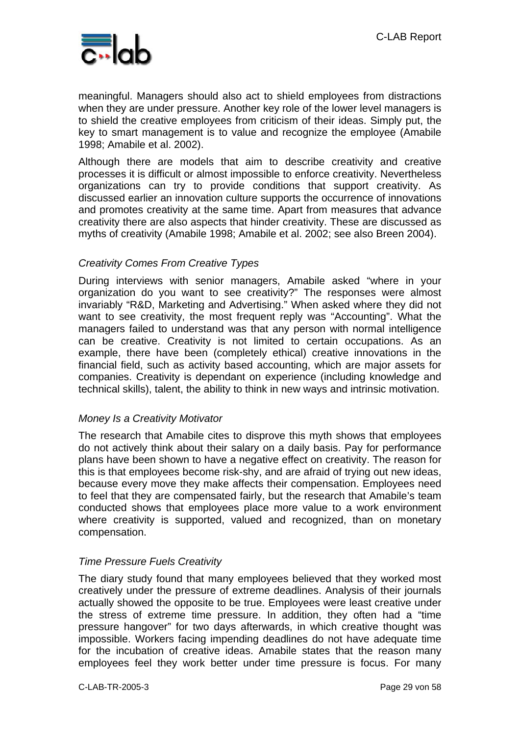

meaningful. Managers should also act to shield employees from distractions when they are under pressure. Another key role of the lower level managers is to shield the creative employees from criticism of their ideas. Simply put, the key to smart management is to value and recognize the employee (Amabile 1998; Amabile et al. 2002).

Although there are models that aim to describe creativity and creative processes it is difficult or almost impossible to enforce creativity. Nevertheless organizations can try to provide conditions that support creativity. As discussed earlier an innovation culture supports the occurrence of innovations and promotes creativity at the same time. Apart from measures that advance creativity there are also aspects that hinder creativity. These are discussed as myths of creativity (Amabile 1998; Amabile et al. 2002; see also Breen 2004).

#### *Creativity Comes From Creative Types*

During interviews with senior managers, Amabile asked "where in your organization do you want to see creativity?" The responses were almost invariably "R&D, Marketing and Advertising." When asked where they did not want to see creativity, the most frequent reply was "Accounting". What the managers failed to understand was that any person with normal intelligence can be creative. Creativity is not limited to certain occupations. As an example, there have been (completely ethical) creative innovations in the financial field, such as activity based accounting, which are major assets for companies. Creativity is dependant on experience (including knowledge and technical skills), talent, the ability to think in new ways and intrinsic motivation.

#### *Money Is a Creativity Motivator*

The research that Amabile cites to disprove this myth shows that employees do not actively think about their salary on a daily basis. Pay for performance plans have been shown to have a negative effect on creativity. The reason for this is that employees become risk-shy, and are afraid of trying out new ideas, because every move they make affects their compensation. Employees need to feel that they are compensated fairly, but the research that Amabile's team conducted shows that employees place more value to a work environment where creativity is supported, valued and recognized, than on monetary compensation.

#### *Time Pressure Fuels Creativity*

The diary study found that many employees believed that they worked most creatively under the pressure of extreme deadlines. Analysis of their journals actually showed the opposite to be true. Employees were least creative under the stress of extreme time pressure. In addition, they often had a "time pressure hangover" for two days afterwards, in which creative thought was impossible. Workers facing impending deadlines do not have adequate time for the incubation of creative ideas. Amabile states that the reason many employees feel they work better under time pressure is focus. For many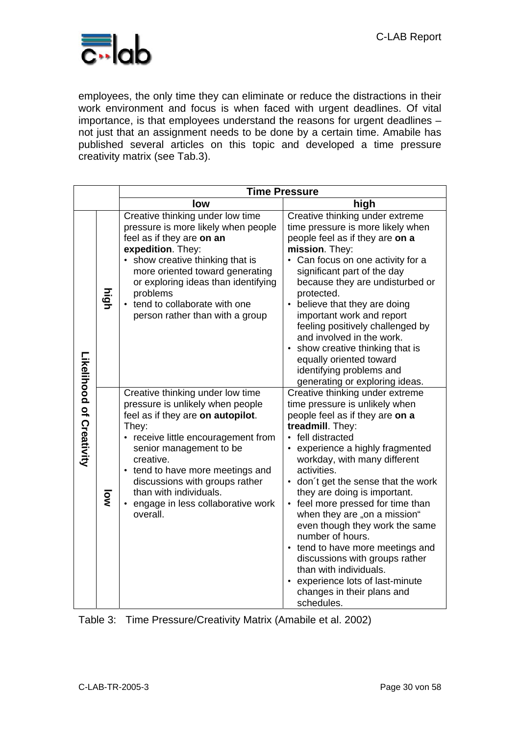

employees, the only time they can eliminate or reduce the distractions in their work environment and focus is when faced with urgent deadlines. Of vital importance, is that employees understand the reasons for urgent deadlines – not just that an assignment needs to be done by a certain time. Amabile has published several articles on this topic and developed a time pressure creativity matrix (see Tab.3).

|                          |      | <b>Time Pressure</b>                                                                                                                                                                                                                                                                                                                               |                                                                                                                                                                                                                                                                                                                                                                                                                                                                                                                                                                                                                |  |  |  |
|--------------------------|------|----------------------------------------------------------------------------------------------------------------------------------------------------------------------------------------------------------------------------------------------------------------------------------------------------------------------------------------------------|----------------------------------------------------------------------------------------------------------------------------------------------------------------------------------------------------------------------------------------------------------------------------------------------------------------------------------------------------------------------------------------------------------------------------------------------------------------------------------------------------------------------------------------------------------------------------------------------------------------|--|--|--|
|                          |      | low                                                                                                                                                                                                                                                                                                                                                | high                                                                                                                                                                                                                                                                                                                                                                                                                                                                                                                                                                                                           |  |  |  |
| Likelipood of Creativity | high | Creative thinking under low time<br>pressure is more likely when people<br>feel as if they are on an<br>expedition. They:<br>• show creative thinking that is<br>more oriented toward generating<br>or exploring ideas than identifying<br>problems<br>tend to collaborate with one<br>person rather than with a group                             | Creative thinking under extreme<br>time pressure is more likely when<br>people feel as if they are on a<br>mission. They:<br>• Can focus on one activity for a<br>significant part of the day<br>because they are undisturbed or<br>protected.<br>believe that they are doing<br>important work and report<br>feeling positively challenged by<br>and involved in the work.<br>• show creative thinking that is<br>equally oriented toward<br>identifying problems and<br>generating or exploring ideas.                                                                                                       |  |  |  |
|                          | ΜÓ   | Creative thinking under low time<br>pressure is unlikely when people<br>feel as if they are on autopilot.<br>They:<br>receive little encouragement from<br>senior management to be<br>creative.<br>• tend to have more meetings and<br>discussions with groups rather<br>than with individuals.<br>• engage in less collaborative work<br>overall. | Creative thinking under extreme<br>time pressure is unlikely when<br>people feel as if they are on a<br>treadmill. They:<br>• fell distracted<br>experience a highly fragmented<br>workday, with many different<br>activities.<br>• don't get the sense that the work<br>they are doing is important.<br>• feel more pressed for time than<br>when they are "on a mission"<br>even though they work the same<br>number of hours.<br>• tend to have more meetings and<br>discussions with groups rather<br>than with individuals.<br>experience lots of last-minute<br>changes in their plans and<br>schedules. |  |  |  |

Table 3: Time Pressure/Creativity Matrix (Amabile et al. 2002)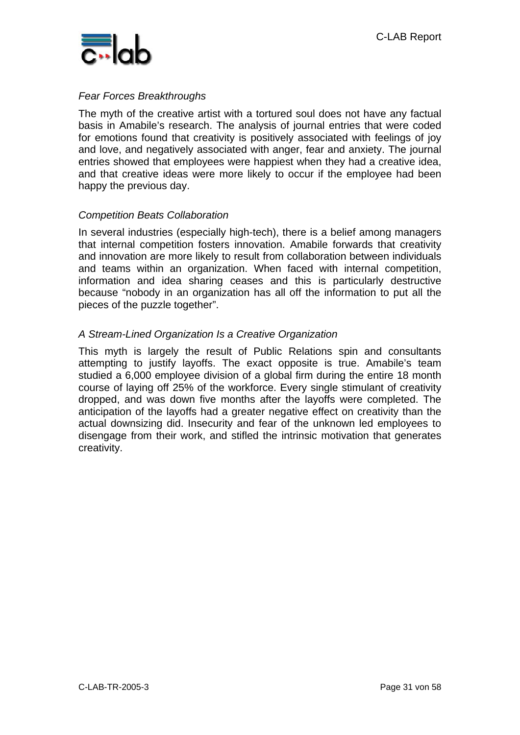

#### *Fear Forces Breakthroughs*

The myth of the creative artist with a tortured soul does not have any factual basis in Amabile's research. The analysis of journal entries that were coded for emotions found that creativity is positively associated with feelings of joy and love, and negatively associated with anger, fear and anxiety. The journal entries showed that employees were happiest when they had a creative idea, and that creative ideas were more likely to occur if the employee had been happy the previous day.

#### *Competition Beats Collaboration*

In several industries (especially high-tech), there is a belief among managers that internal competition fosters innovation. Amabile forwards that creativity and innovation are more likely to result from collaboration between individuals and teams within an organization. When faced with internal competition, information and idea sharing ceases and this is particularly destructive because "nobody in an organization has all off the information to put all the pieces of the puzzle together".

#### *A Stream-Lined Organization Is a Creative Organization*

This myth is largely the result of Public Relations spin and consultants attempting to justify layoffs. The exact opposite is true. Amabile's team studied a 6,000 employee division of a global firm during the entire 18 month course of laying off 25% of the workforce. Every single stimulant of creativity dropped, and was down five months after the layoffs were completed. The anticipation of the layoffs had a greater negative effect on creativity than the actual downsizing did. Insecurity and fear of the unknown led employees to disengage from their work, and stifled the intrinsic motivation that generates creativity.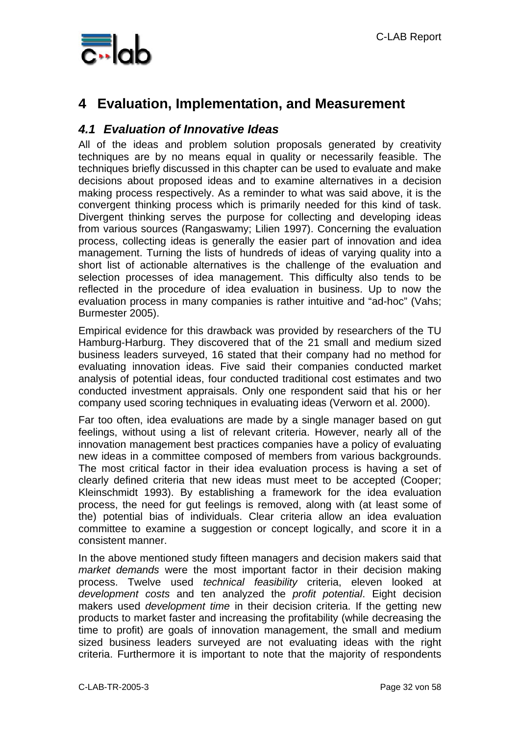

## **4 Evaluation, Implementation, and Measurement**

#### *4.1 Evaluation of Innovative Ideas*

All of the ideas and problem solution proposals generated by creativity techniques are by no means equal in quality or necessarily feasible. The techniques briefly discussed in this chapter can be used to evaluate and make decisions about proposed ideas and to examine alternatives in a decision making process respectively. As a reminder to what was said above, it is the convergent thinking process which is primarily needed for this kind of task. Divergent thinking serves the purpose for collecting and developing ideas from various sources (Rangaswamy; Lilien 1997). Concerning the evaluation process, collecting ideas is generally the easier part of innovation and idea management. Turning the lists of hundreds of ideas of varying quality into a short list of actionable alternatives is the challenge of the evaluation and selection processes of idea management. This difficulty also tends to be reflected in the procedure of idea evaluation in business. Up to now the evaluation process in many companies is rather intuitive and "ad-hoc" (Vahs; Burmester 2005).

Empirical evidence for this drawback was provided by researchers of the TU Hamburg-Harburg. They discovered that of the 21 small and medium sized business leaders surveyed, 16 stated that their company had no method for evaluating innovation ideas. Five said their companies conducted market analysis of potential ideas, four conducted traditional cost estimates and two conducted investment appraisals. Only one respondent said that his or her company used scoring techniques in evaluating ideas (Verworn et al. 2000).

Far too often, idea evaluations are made by a single manager based on gut feelings, without using a list of relevant criteria. However, nearly all of the innovation management best practices companies have a policy of evaluating new ideas in a committee composed of members from various backgrounds. The most critical factor in their idea evaluation process is having a set of clearly defined criteria that new ideas must meet to be accepted (Cooper; Kleinschmidt 1993). By establishing a framework for the idea evaluation process, the need for gut feelings is removed, along with (at least some of the) potential bias of individuals. Clear criteria allow an idea evaluation committee to examine a suggestion or concept logically, and score it in a consistent manner.

In the above mentioned study fifteen managers and decision makers said that *market demands* were the most important factor in their decision making process. Twelve used *technical feasibility* criteria, eleven looked at *development costs* and ten analyzed the *profit potential*. Eight decision makers used *development time* in their decision criteria. If the getting new products to market faster and increasing the profitability (while decreasing the time to profit) are goals of innovation management, the small and medium sized business leaders surveyed are not evaluating ideas with the right criteria. Furthermore it is important to note that the majority of respondents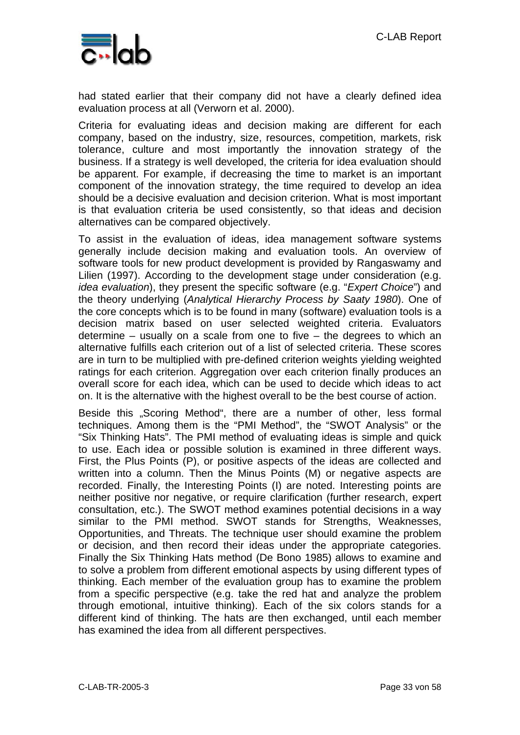

had stated earlier that their company did not have a clearly defined idea evaluation process at all (Verworn et al. 2000).

Criteria for evaluating ideas and decision making are different for each company, based on the industry, size, resources, competition, markets, risk tolerance, culture and most importantly the innovation strategy of the business. If a strategy is well developed, the criteria for idea evaluation should be apparent. For example, if decreasing the time to market is an important component of the innovation strategy, the time required to develop an idea should be a decisive evaluation and decision criterion. What is most important is that evaluation criteria be used consistently, so that ideas and decision alternatives can be compared objectively.

To assist in the evaluation of ideas, idea management software systems generally include decision making and evaluation tools. An overview of software tools for new product development is provided by Rangaswamy and Lilien (1997). According to the development stage under consideration (e.g. *idea evaluation*), they present the specific software (e.g. "*Expert Choice*") and the theory underlying (*Analytical Hierarchy Process by Saaty 1980*). One of the core concepts which is to be found in many (software) evaluation tools is a decision matrix based on user selected weighted criteria. Evaluators determine – usually on a scale from one to five – the degrees to which an alternative fulfills each criterion out of a list of selected criteria. These scores are in turn to be multiplied with pre-defined criterion weights yielding weighted ratings for each criterion. Aggregation over each criterion finally produces an overall score for each idea, which can be used to decide which ideas to act on. It is the alternative with the highest overall to be the best course of action.

Beside this "Scoring Method", there are a number of other, less formal techniques. Among them is the "PMI Method", the "SWOT Analysis" or the "Six Thinking Hats". The PMI method of evaluating ideas is simple and quick to use. Each idea or possible solution is examined in three different ways. First, the Plus Points (P), or positive aspects of the ideas are collected and written into a column. Then the Minus Points (M) or negative aspects are recorded. Finally, the Interesting Points (I) are noted. Interesting points are neither positive nor negative, or require clarification (further research, expert consultation, etc.). The SWOT method examines potential decisions in a way similar to the PMI method. SWOT stands for Strengths, Weaknesses, Opportunities, and Threats. The technique user should examine the problem or decision, and then record their ideas under the appropriate categories. Finally the Six Thinking Hats method (De Bono 1985) allows to examine and to solve a problem from different emotional aspects by using different types of thinking. Each member of the evaluation group has to examine the problem from a specific perspective (e.g. take the red hat and analyze the problem through emotional, intuitive thinking). Each of the six colors stands for a different kind of thinking. The hats are then exchanged, until each member has examined the idea from all different perspectives.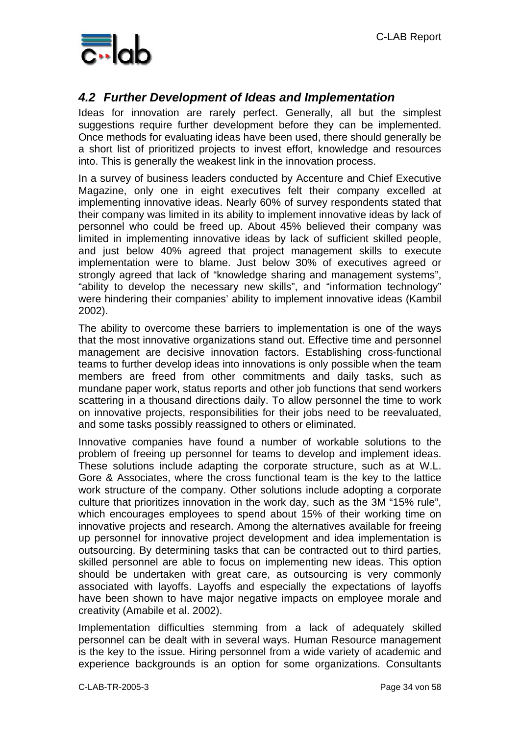

### *4.2 Further Development of Ideas and Implementation*

Ideas for innovation are rarely perfect. Generally, all but the simplest suggestions require further development before they can be implemented. Once methods for evaluating ideas have been used, there should generally be a short list of prioritized projects to invest effort, knowledge and resources into. This is generally the weakest link in the innovation process.

In a survey of business leaders conducted by Accenture and Chief Executive Magazine, only one in eight executives felt their company excelled at implementing innovative ideas. Nearly 60% of survey respondents stated that their company was limited in its ability to implement innovative ideas by lack of personnel who could be freed up. About 45% believed their company was limited in implementing innovative ideas by lack of sufficient skilled people, and just below 40% agreed that project management skills to execute implementation were to blame. Just below 30% of executives agreed or strongly agreed that lack of "knowledge sharing and management systems", "ability to develop the necessary new skills", and "information technology" were hindering their companies' ability to implement innovative ideas (Kambil 2002).

The ability to overcome these barriers to implementation is one of the ways that the most innovative organizations stand out. Effective time and personnel management are decisive innovation factors. Establishing cross-functional teams to further develop ideas into innovations is only possible when the team members are freed from other commitments and daily tasks, such as mundane paper work, status reports and other job functions that send workers scattering in a thousand directions daily. To allow personnel the time to work on innovative projects, responsibilities for their jobs need to be reevaluated, and some tasks possibly reassigned to others or eliminated.

Innovative companies have found a number of workable solutions to the problem of freeing up personnel for teams to develop and implement ideas. These solutions include adapting the corporate structure, such as at W.L. Gore & Associates, where the cross functional team is the key to the lattice work structure of the company. Other solutions include adopting a corporate culture that prioritizes innovation in the work day, such as the 3M "15% rule", which encourages employees to spend about 15% of their working time on innovative projects and research. Among the alternatives available for freeing up personnel for innovative project development and idea implementation is outsourcing. By determining tasks that can be contracted out to third parties, skilled personnel are able to focus on implementing new ideas. This option should be undertaken with great care, as outsourcing is very commonly associated with layoffs. Layoffs and especially the expectations of layoffs have been shown to have major negative impacts on employee morale and creativity (Amabile et al. 2002).

Implementation difficulties stemming from a lack of adequately skilled personnel can be dealt with in several ways. Human Resource management is the key to the issue. Hiring personnel from a wide variety of academic and experience backgrounds is an option for some organizations. Consultants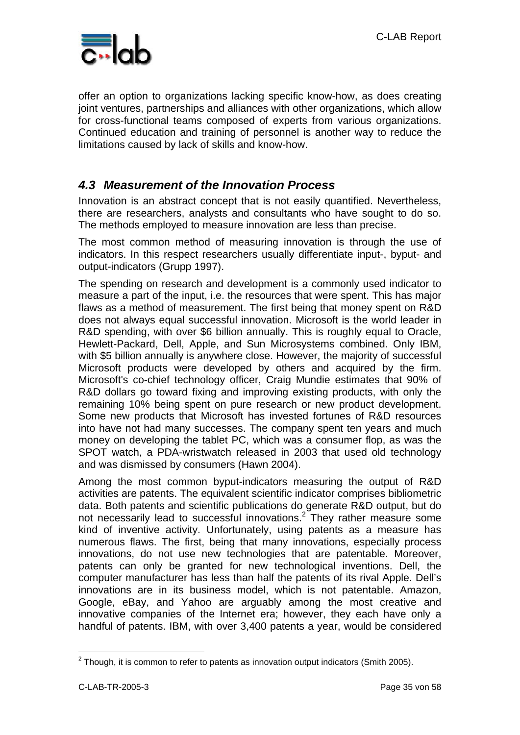

offer an option to organizations lacking specific know-how, as does creating joint ventures, partnerships and alliances with other organizations, which allow for cross-functional teams composed of experts from various organizations. Continued education and training of personnel is another way to reduce the limitations caused by lack of skills and know-how.

### *4.3 Measurement of the Innovation Process*

Innovation is an abstract concept that is not easily quantified. Nevertheless, there are researchers, analysts and consultants who have sought to do so. The methods employed to measure innovation are less than precise.

The most common method of measuring innovation is through the use of indicators. In this respect researchers usually differentiate input-, byput- and output-indicators (Grupp 1997).

The spending on research and development is a commonly used indicator to measure a part of the input, i.e. the resources that were spent. This has major flaws as a method of measurement. The first being that money spent on R&D does not always equal successful innovation. Microsoft is the world leader in R&D spending, with over \$6 billion annually. This is roughly equal to Oracle, Hewlett-Packard, Dell, Apple, and Sun Microsystems combined. Only IBM, with \$5 billion annually is anywhere close. However, the majority of successful Microsoft products were developed by others and acquired by the firm. Microsoft's co-chief technology officer, Craig Mundie estimates that 90% of R&D dollars go toward fixing and improving existing products, with only the remaining 10% being spent on pure research or new product development. Some new products that Microsoft has invested fortunes of R&D resources into have not had many successes. The company spent ten years and much money on developing the tablet PC, which was a consumer flop, as was the SPOT watch, a PDA-wristwatch released in 2003 that used old technology and was dismissed by consumers (Hawn 2004).

Among the most common byput-indicators measuring the output of R&D activities are patents. The equivalent scientific indicator comprises bibliometric data. Both patents and scientific publications do generate R&D output, but do not necessarily lead to successful innovations.<sup>2</sup> They rather measure some kind of inventive activity. Unfortunately, using patents as a measure has numerous flaws. The first, being that many innovations, especially process innovations, do not use new technologies that are patentable. Moreover, patents can only be granted for new technological inventions. Dell, the computer manufacturer has less than half the patents of its rival Apple. Dell's innovations are in its business model, which is not patentable. Amazon, Google, eBay, and Yahoo are arguably among the most creative and innovative companies of the Internet era; however, they each have only a handful of patents. IBM, with over 3,400 patents a year, would be considered

 $\overline{a}$ 

 $2$  Though, it is common to refer to patents as innovation output indicators (Smith 2005).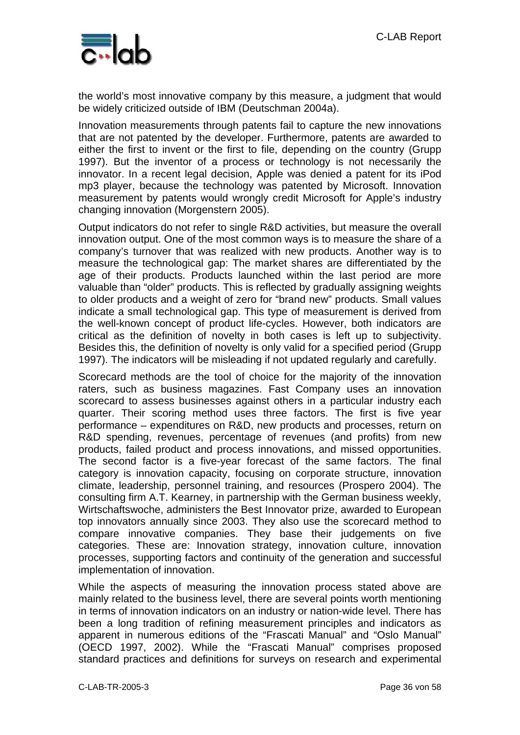

the world's most innovative company by this measure, a judgment that would be widely criticized outside of IBM (Deutschman 2004a).

Innovation measurements through patents fail to capture the new innovations that are not patented by the developer. Furthermore, patents are awarded to either the first to invent or the first to file, depending on the country (Grupp 1997). But the inventor of a process or technology is not necessarily the innovator. In a recent legal decision, Apple was denied a patent for its iPod mp3 player, because the technology was patented by Microsoft. Innovation measurement by patents would wrongly credit Microsoft for Apple's industry changing innovation (Morgenstern 2005).

Output indicators do not refer to single R&D activities, but measure the overall innovation output. One of the most common ways is to measure the share of a company's turnover that was realized with new products. Another way is to measure the technological gap: The market shares are differentiated by the age of their products. Products launched within the last period are more valuable than "older" products. This is reflected by gradually assigning weights to older products and a weight of zero for "brand new" products. Small values indicate a small technological gap. This type of measurement is derived from the well-known concept of product life-cycles. However, both indicators are critical as the definition of novelty in both cases is left up to subjectivity. Besides this, the definition of novelty is only valid for a specified period (Grupp 1997). The indicators will be misleading if not updated regularly and carefully.

Scorecard methods are the tool of choice for the majority of the innovation raters, such as business magazines. Fast Company uses an innovation scorecard to assess businesses against others in a particular industry each quarter. Their scoring method uses three factors. The first is five year performance – expenditures on R&D, new products and processes, return on R&D spending, revenues, percentage of revenues (and profits) from new products, failed product and process innovations, and missed opportunities. The second factor is a five-year forecast of the same factors. The final category is innovation capacity, focusing on corporate structure, innovation climate, leadership, personnel training, and resources (Prospero 2004). The consulting firm A.T. Kearney, in partnership with the German business weekly, Wirtschaftswoche, administers the Best Innovator prize, awarded to European top innovators annually since 2003. They also use the scorecard method to compare innovative companies. They base their judgements on five categories. These are: Innovation strategy, innovation culture, innovation processes, supporting factors and continuity of the generation and successful implementation of innovation.

While the aspects of measuring the innovation process stated above are mainly related to the business level, there are several points worth mentioning in terms of innovation indicators on an industry or nation-wide level. There has been a long tradition of refining measurement principles and indicators as apparent in numerous editions of the "Frascati Manual" and "Oslo Manual" (OECD 1997, 2002). While the "Frascati Manual" comprises proposed standard practices and definitions for surveys on research and experimental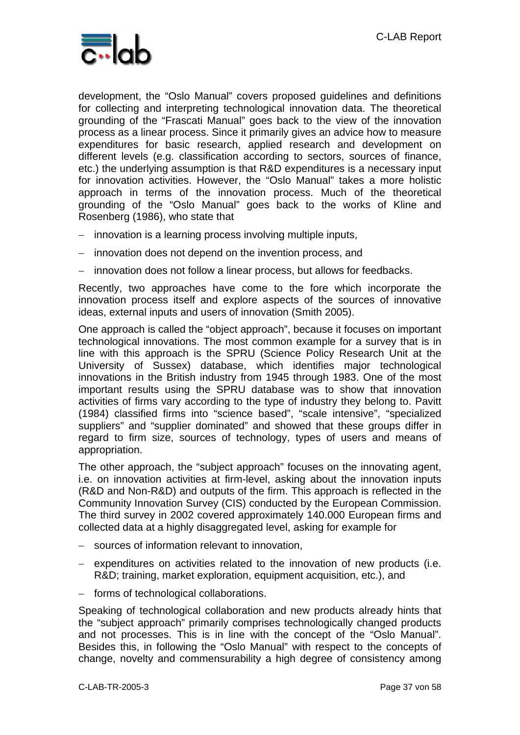

development, the "Oslo Manual" covers proposed guidelines and definitions for collecting and interpreting technological innovation data. The theoretical grounding of the "Frascati Manual" goes back to the view of the innovation process as a linear process. Since it primarily gives an advice how to measure expenditures for basic research, applied research and development on different levels (e.g. classification according to sectors, sources of finance, etc.) the underlying assumption is that R&D expenditures is a necessary input for innovation activities. However, the "Oslo Manual" takes a more holistic approach in terms of the innovation process. Much of the theoretical grounding of the "Oslo Manual" goes back to the works of Kline and Rosenberg (1986), who state that

- − innovation is a learning process involving multiple inputs,
- − innovation does not depend on the invention process, and
- − innovation does not follow a linear process, but allows for feedbacks.

Recently, two approaches have come to the fore which incorporate the innovation process itself and explore aspects of the sources of innovative ideas, external inputs and users of innovation (Smith 2005).

One approach is called the "object approach", because it focuses on important technological innovations. The most common example for a survey that is in line with this approach is the SPRU (Science Policy Research Unit at the University of Sussex) database, which identifies major technological innovations in the British industry from 1945 through 1983. One of the most important results using the SPRU database was to show that innovation activities of firms vary according to the type of industry they belong to. Pavitt (1984) classified firms into "science based", "scale intensive", "specialized suppliers" and "supplier dominated" and showed that these groups differ in regard to firm size, sources of technology, types of users and means of appropriation.

The other approach, the "subject approach" focuses on the innovating agent, i.e. on innovation activities at firm-level, asking about the innovation inputs (R&D and Non-R&D) and outputs of the firm. This approach is reflected in the Community Innovation Survey (CIS) conducted by the European Commission. The third survey in 2002 covered approximately 140.000 European firms and collected data at a highly disaggregated level, asking for example for

- − sources of information relevant to innovation,
- − expenditures on activities related to the innovation of new products (i.e. R&D; training, market exploration, equipment acquisition, etc.), and
- − forms of technological collaborations.

Speaking of technological collaboration and new products already hints that the "subject approach" primarily comprises technologically changed products and not processes. This is in line with the concept of the "Oslo Manual". Besides this, in following the "Oslo Manual" with respect to the concepts of change, novelty and commensurability a high degree of consistency among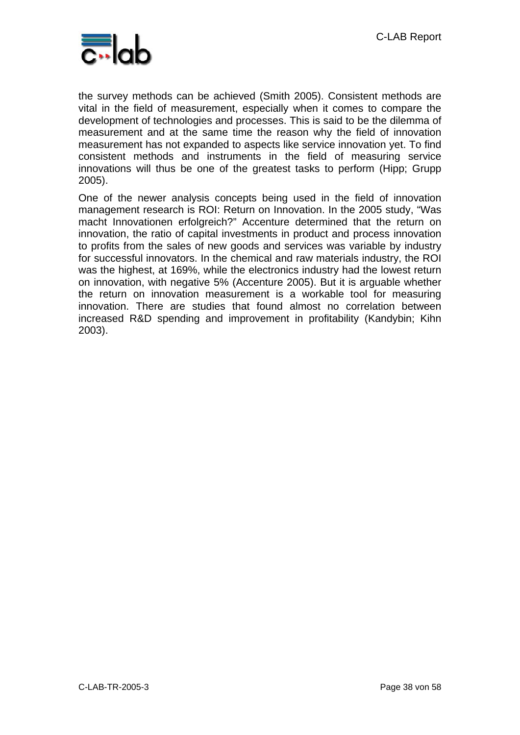C-LAB Report



the survey methods can be achieved (Smith 2005). Consistent methods are vital in the field of measurement, especially when it comes to compare the development of technologies and processes. This is said to be the dilemma of measurement and at the same time the reason why the field of innovation measurement has not expanded to aspects like service innovation yet. To find consistent methods and instruments in the field of measuring service innovations will thus be one of the greatest tasks to perform (Hipp; Grupp 2005).

One of the newer analysis concepts being used in the field of innovation management research is ROI: Return on Innovation. In the 2005 study, "Was macht Innovationen erfolgreich?" Accenture determined that the return on innovation, the ratio of capital investments in product and process innovation to profits from the sales of new goods and services was variable by industry for successful innovators. In the chemical and raw materials industry, the ROI was the highest, at 169%, while the electronics industry had the lowest return on innovation, with negative 5% (Accenture 2005). But it is arguable whether the return on innovation measurement is a workable tool for measuring innovation. There are studies that found almost no correlation between increased R&D spending and improvement in profitability (Kandybin; Kihn 2003).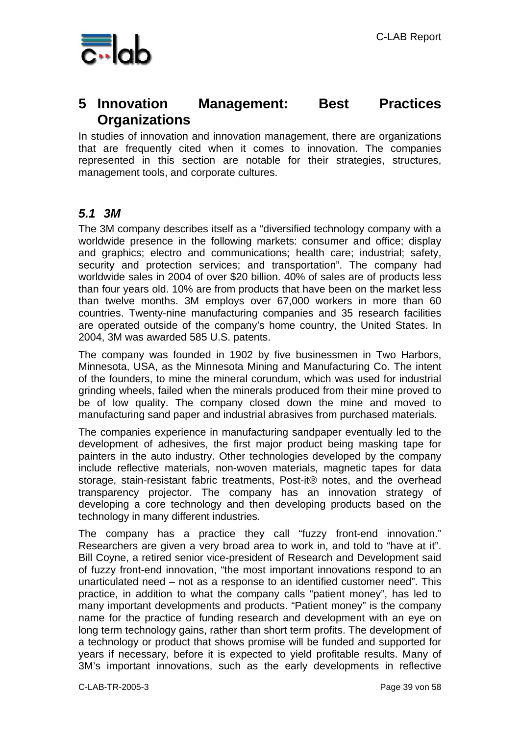

### **5 Innovation Management: Best Practices Organizations**

In studies of innovation and innovation management, there are organizations that are frequently cited when it comes to innovation. The companies represented in this section are notable for their strategies, structures, management tools, and corporate cultures.

### *5.1 3M*

The 3M company describes itself as a "diversified technology company with a worldwide presence in the following markets: consumer and office; display and graphics; electro and communications; health care; industrial; safety, security and protection services; and transportation". The company had worldwide sales in 2004 of over \$20 billion. 40% of sales are of products less than four years old. 10% are from products that have been on the market less than twelve months. 3M employs over 67,000 workers in more than 60 countries. Twenty-nine manufacturing companies and 35 research facilities are operated outside of the company's home country, the United States. In 2004, 3M was awarded 585 U.S. patents.

The company was founded in 1902 by five businessmen in Two Harbors, Minnesota, USA, as the Minnesota Mining and Manufacturing Co. The intent of the founders, to mine the mineral corundum, which was used for industrial grinding wheels, failed when the minerals produced from their mine proved to be of low quality. The company closed down the mine and moved to manufacturing sand paper and industrial abrasives from purchased materials.

The companies experience in manufacturing sandpaper eventually led to the development of adhesives, the first major product being masking tape for painters in the auto industry. Other technologies developed by the company include reflective materials, non-woven materials, magnetic tapes for data storage, stain-resistant fabric treatments, Post-it® notes, and the overhead transparency projector. The company has an innovation strategy of developing a core technology and then developing products based on the technology in many different industries.

The company has a practice they call "fuzzy front-end innovation." Researchers are given a very broad area to work in, and told to "have at it". Bill Coyne, a retired senior vice-president of Research and Development said of fuzzy front-end innovation, "the most important innovations respond to an unarticulated need – not as a response to an identified customer need". This practice, in addition to what the company calls "patient money", has led to many important developments and products. "Patient money" is the company name for the practice of funding research and development with an eye on long term technology gains, rather than short term profits. The development of a technology or product that shows promise will be funded and supported for years if necessary, before it is expected to yield profitable results. Many of 3M's important innovations, such as the early developments in reflective

C-LAB-TR-2005-3 Page 39 von 58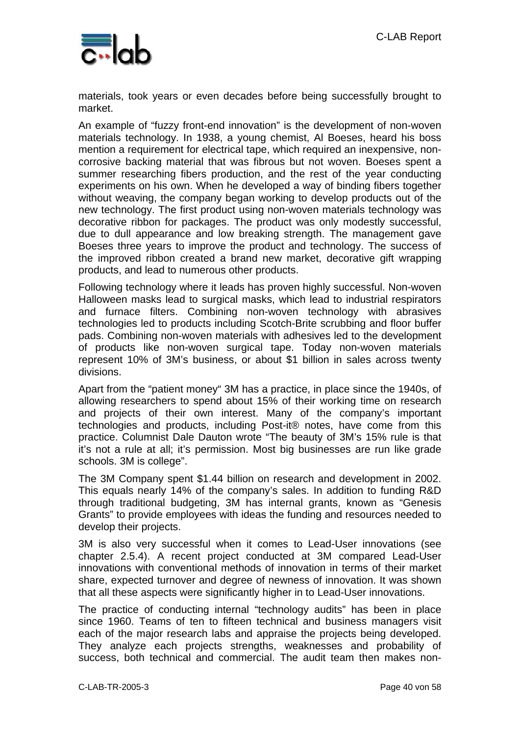

materials, took years or even decades before being successfully brought to market.

An example of "fuzzy front-end innovation" is the development of non-woven materials technology. In 1938, a young chemist, Al Boeses, heard his boss mention a requirement for electrical tape, which required an inexpensive, noncorrosive backing material that was fibrous but not woven. Boeses spent a summer researching fibers production, and the rest of the year conducting experiments on his own. When he developed a way of binding fibers together without weaving, the company began working to develop products out of the new technology. The first product using non-woven materials technology was decorative ribbon for packages. The product was only modestly successful, due to dull appearance and low breaking strength. The management gave Boeses three years to improve the product and technology. The success of the improved ribbon created a brand new market, decorative gift wrapping products, and lead to numerous other products.

Following technology where it leads has proven highly successful. Non-woven Halloween masks lead to surgical masks, which lead to industrial respirators and furnace filters. Combining non-woven technology with abrasives technologies led to products including Scotch-Brite scrubbing and floor buffer pads. Combining non-woven materials with adhesives led to the development of products like non-woven surgical tape. Today non-woven materials represent 10% of 3M's business, or about \$1 billion in sales across twenty divisions.

Apart from the "patient money" 3M has a practice, in place since the 1940s, of allowing researchers to spend about 15% of their working time on research and projects of their own interest. Many of the company's important technologies and products, including Post-it® notes, have come from this practice. Columnist Dale Dauton wrote "The beauty of 3M's 15% rule is that it's not a rule at all; it's permission. Most big businesses are run like grade schools. 3M is college".

The 3M Company spent \$1.44 billion on research and development in 2002. This equals nearly 14% of the company's sales. In addition to funding R&D through traditional budgeting, 3M has internal grants, known as "Genesis Grants" to provide employees with ideas the funding and resources needed to develop their projects.

3M is also very successful when it comes to Lead-User innovations (see chapter 2.5.4). A recent project conducted at 3M compared Lead-User innovations with conventional methods of innovation in terms of their market share, expected turnover and degree of newness of innovation. It was shown that all these aspects were significantly higher in to Lead-User innovations.

The practice of conducting internal "technology audits" has been in place since 1960. Teams of ten to fifteen technical and business managers visit each of the major research labs and appraise the projects being developed. They analyze each projects strengths, weaknesses and probability of success, both technical and commercial. The audit team then makes non-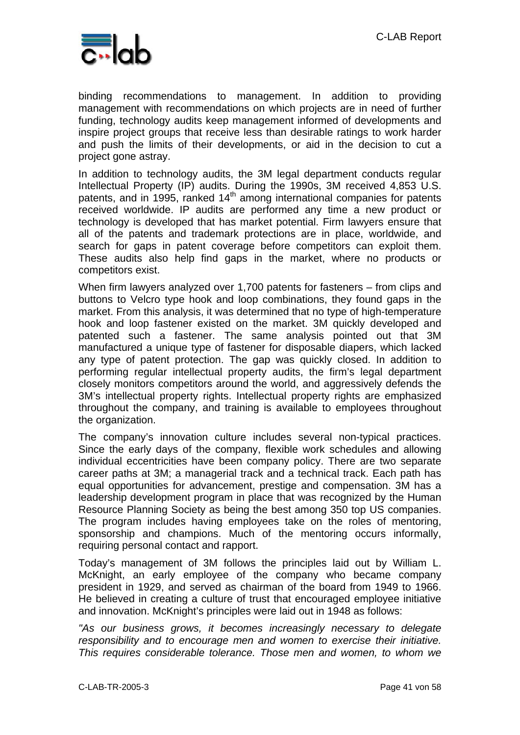

binding recommendations to management. In addition to providing management with recommendations on which projects are in need of further funding, technology audits keep management informed of developments and inspire project groups that receive less than desirable ratings to work harder and push the limits of their developments, or aid in the decision to cut a project gone astray.

In addition to technology audits, the 3M legal department conducts regular Intellectual Property (IP) audits. During the 1990s, 3M received 4,853 U.S. patents, and in 1995, ranked  $14<sup>th</sup>$  among international companies for patents received worldwide. IP audits are performed any time a new product or technology is developed that has market potential. Firm lawyers ensure that all of the patents and trademark protections are in place, worldwide, and search for gaps in patent coverage before competitors can exploit them. These audits also help find gaps in the market, where no products or competitors exist.

When firm lawyers analyzed over 1,700 patents for fasteners – from clips and buttons to Velcro type hook and loop combinations, they found gaps in the market. From this analysis, it was determined that no type of high-temperature hook and loop fastener existed on the market. 3M quickly developed and patented such a fastener. The same analysis pointed out that 3M manufactured a unique type of fastener for disposable diapers, which lacked any type of patent protection. The gap was quickly closed. In addition to performing regular intellectual property audits, the firm's legal department closely monitors competitors around the world, and aggressively defends the 3M's intellectual property rights. Intellectual property rights are emphasized throughout the company, and training is available to employees throughout the organization.

The company's innovation culture includes several non-typical practices. Since the early days of the company, flexible work schedules and allowing individual eccentricities have been company policy. There are two separate career paths at 3M; a managerial track and a technical track. Each path has equal opportunities for advancement, prestige and compensation. 3M has a leadership development program in place that was recognized by the Human Resource Planning Society as being the best among 350 top US companies. The program includes having employees take on the roles of mentoring, sponsorship and champions. Much of the mentoring occurs informally, requiring personal contact and rapport.

Today's management of 3M follows the principles laid out by William L. McKnight, an early employee of the company who became company president in 1929, and served as chairman of the board from 1949 to 1966. He believed in creating a culture of trust that encouraged employee initiative and innovation. McKnight's principles were laid out in 1948 as follows:

"As our business grows, it becomes increasingly necessary to delegate *responsibility and to encourage men and women to exercise their initiative. This requires considerable tolerance. Those men and women, to whom we*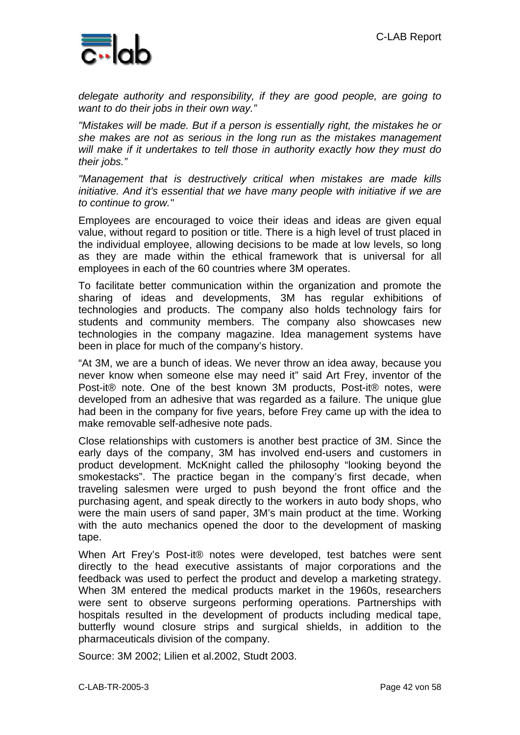

*delegate authority and responsibility, if they are good people, are going to want to do their jobs in their own way."* 

*"Mistakes will be made. But if a person is essentially right, the mistakes he or she makes are not as serious in the long run as the mistakes management will make if it undertakes to tell those in authority exactly how they must do their jobs."* 

*"Management that is destructively critical when mistakes are made kills initiative. And it's essential that we have many people with initiative if we are to continue to grow."* 

Employees are encouraged to voice their ideas and ideas are given equal value, without regard to position or title. There is a high level of trust placed in the individual employee, allowing decisions to be made at low levels, so long as they are made within the ethical framework that is universal for all employees in each of the 60 countries where 3M operates.

To facilitate better communication within the organization and promote the sharing of ideas and developments, 3M has regular exhibitions of technologies and products. The company also holds technology fairs for students and community members. The company also showcases new technologies in the company magazine. Idea management systems have been in place for much of the company's history.

"At 3M, we are a bunch of ideas. We never throw an idea away, because you never know when someone else may need it" said Art Frey, inventor of the Post-it® note. One of the best known 3M products, Post-it® notes, were developed from an adhesive that was regarded as a failure. The unique glue had been in the company for five years, before Frey came up with the idea to make removable self-adhesive note pads.

Close relationships with customers is another best practice of 3M. Since the early days of the company, 3M has involved end-users and customers in product development. McKnight called the philosophy "looking beyond the smokestacks". The practice began in the company's first decade, when traveling salesmen were urged to push beyond the front office and the purchasing agent, and speak directly to the workers in auto body shops, who were the main users of sand paper, 3M's main product at the time. Working with the auto mechanics opened the door to the development of masking tape.

When Art Frey's Post-it® notes were developed, test batches were sent directly to the head executive assistants of major corporations and the feedback was used to perfect the product and develop a marketing strategy. When 3M entered the medical products market in the 1960s, researchers were sent to observe surgeons performing operations. Partnerships with hospitals resulted in the development of products including medical tape, butterfly wound closure strips and surgical shields, in addition to the pharmaceuticals division of the company.

Source: 3M 2002; Lilien et al.2002, Studt 2003.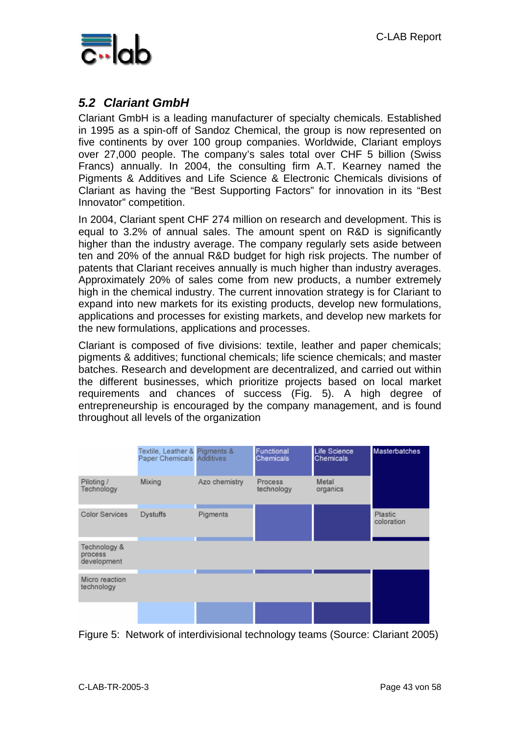

### *5.2 Clariant GmbH*

Clariant GmbH is a leading manufacturer of specialty chemicals. Established in 1995 as a spin-off of Sandoz Chemical, the group is now represented on five continents by over 100 group companies. Worldwide, Clariant employs over 27,000 people. The company's sales total over CHF 5 billion (Swiss Francs) annually. In 2004, the consulting firm A.T. Kearney named the Pigments & Additives and Life Science & Electronic Chemicals divisions of Clariant as having the "Best Supporting Factors" for innovation in its "Best Innovator" competition.

In 2004, Clariant spent CHF 274 million on research and development. This is equal to 3.2% of annual sales. The amount spent on R&D is significantly higher than the industry average. The company regularly sets aside between ten and 20% of the annual R&D budget for high risk projects. The number of patents that Clariant receives annually is much higher than industry averages. Approximately 20% of sales come from new products, a number extremely high in the chemical industry. The current innovation strategy is for Clariant to expand into new markets for its existing products, develop new formulations, applications and processes for existing markets, and develop new markets for the new formulations, applications and processes.

Clariant is composed of five divisions: textile, leather and paper chemicals; pigments & additives; functional chemicals; life science chemicals; and master batches. Research and development are decentralized, and carried out within the different businesses, which prioritize projects based on local market requirements and chances of success (Fig. 5). A high degree of entrepreneurship is encouraged by the company management, and is found throughout all levels of the organization

|                                        | Textile, Leather & Pigments &<br>Paper Chemicals Additives |               | Functional<br>Chemicals | Life Science<br>Chemicals | Masterbatches                |
|----------------------------------------|------------------------------------------------------------|---------------|-------------------------|---------------------------|------------------------------|
| Piloting /<br>Technology               | Mixing                                                     | Azo chemistry | Process<br>technology   | Metal<br>organics         |                              |
| Color Services                         | Dystuffs                                                   | Pigments      |                         |                           | <b>Plastic</b><br>coloration |
| Technology &<br>process<br>development |                                                            |               |                         |                           |                              |
| Micro reaction<br>technology           |                                                            |               |                         |                           |                              |
|                                        |                                                            |               |                         |                           |                              |

Figure 5: Network of interdivisional technology teams (Source: Clariant 2005)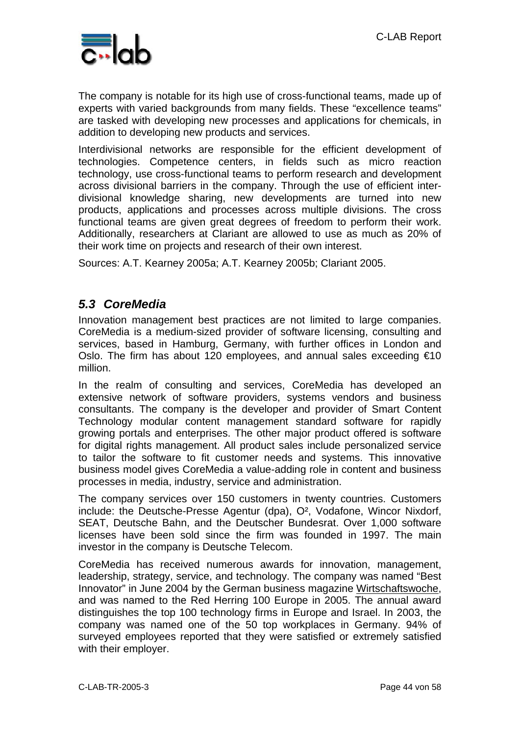

The company is notable for its high use of cross-functional teams, made up of experts with varied backgrounds from many fields. These "excellence teams" are tasked with developing new processes and applications for chemicals, in addition to developing new products and services.

Interdivisional networks are responsible for the efficient development of technologies. Competence centers, in fields such as micro reaction technology, use cross-functional teams to perform research and development across divisional barriers in the company. Through the use of efficient interdivisional knowledge sharing, new developments are turned into new products, applications and processes across multiple divisions. The cross functional teams are given great degrees of freedom to perform their work. Additionally, researchers at Clariant are allowed to use as much as 20% of their work time on projects and research of their own interest.

Sources: A.T. Kearney 2005a; A.T. Kearney 2005b; Clariant 2005.

### *5.3 CoreMedia*

Innovation management best practices are not limited to large companies. CoreMedia is a medium-sized provider of software licensing, consulting and services, based in Hamburg, Germany, with further offices in London and Oslo. The firm has about 120 employees, and annual sales exceeding €10 million.

In the realm of consulting and services, CoreMedia has developed an extensive network of software providers, systems vendors and business consultants. The company is the developer and provider of Smart Content Technology modular content management standard software for rapidly growing portals and enterprises. The other major product offered is software for digital rights management. All product sales include personalized service to tailor the software to fit customer needs and systems. This innovative business model gives CoreMedia a value-adding role in content and business processes in media, industry, service and administration.

The company services over 150 customers in twenty countries. Customers include: the Deutsche-Presse Agentur (dpa), O², Vodafone, Wincor Nixdorf, SEAT, Deutsche Bahn, and the Deutscher Bundesrat. Over 1,000 software licenses have been sold since the firm was founded in 1997. The main investor in the company is Deutsche Telecom.

CoreMedia has received numerous awards for innovation, management, leadership, strategy, service, and technology. The company was named "Best Innovator" in June 2004 by the German business magazine Wirtschaftswoche, and was named to the Red Herring 100 Europe in 2005. The annual award distinguishes the top 100 technology firms in Europe and Israel. In 2003, the company was named one of the 50 top workplaces in Germany. 94% of surveyed employees reported that they were satisfied or extremely satisfied with their employer.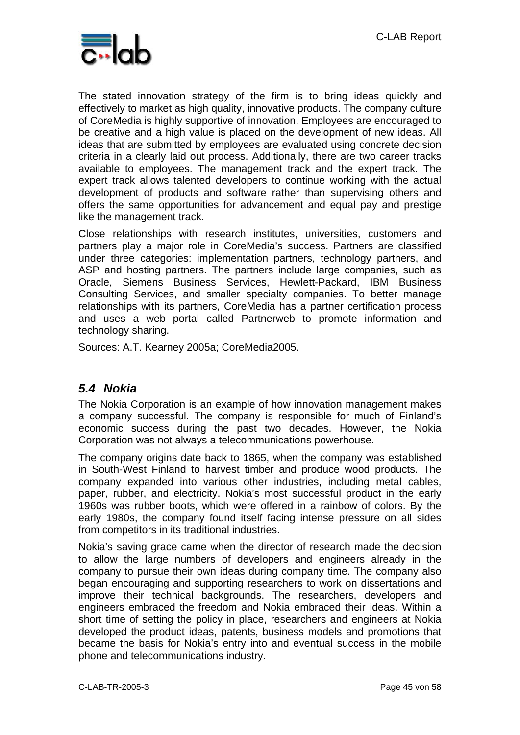

The stated innovation strategy of the firm is to bring ideas quickly and effectively to market as high quality, innovative products. The company culture of CoreMedia is highly supportive of innovation. Employees are encouraged to be creative and a high value is placed on the development of new ideas. All ideas that are submitted by employees are evaluated using concrete decision criteria in a clearly laid out process. Additionally, there are two career tracks available to employees. The management track and the expert track. The expert track allows talented developers to continue working with the actual development of products and software rather than supervising others and offers the same opportunities for advancement and equal pay and prestige like the management track.

Close relationships with research institutes, universities, customers and partners play a major role in CoreMedia's success. Partners are classified under three categories: implementation partners, technology partners, and ASP and hosting partners. The partners include large companies, such as Oracle, Siemens Business Services, Hewlett-Packard, IBM Business Consulting Services, and smaller specialty companies. To better manage relationships with its partners, CoreMedia has a partner certification process and uses a web portal called Partnerweb to promote information and technology sharing.

Sources: A.T. Kearney 2005a; CoreMedia2005.

### *5.4 Nokia*

The Nokia Corporation is an example of how innovation management makes a company successful. The company is responsible for much of Finland's economic success during the past two decades. However, the Nokia Corporation was not always a telecommunications powerhouse.

The company origins date back to 1865, when the company was established in South-West Finland to harvest timber and produce wood products. The company expanded into various other industries, including metal cables, paper, rubber, and electricity. Nokia's most successful product in the early 1960s was rubber boots, which were offered in a rainbow of colors. By the early 1980s, the company found itself facing intense pressure on all sides from competitors in its traditional industries.

Nokia's saving grace came when the director of research made the decision to allow the large numbers of developers and engineers already in the company to pursue their own ideas during company time. The company also began encouraging and supporting researchers to work on dissertations and improve their technical backgrounds. The researchers, developers and engineers embraced the freedom and Nokia embraced their ideas. Within a short time of setting the policy in place, researchers and engineers at Nokia developed the product ideas, patents, business models and promotions that became the basis for Nokia's entry into and eventual success in the mobile phone and telecommunications industry.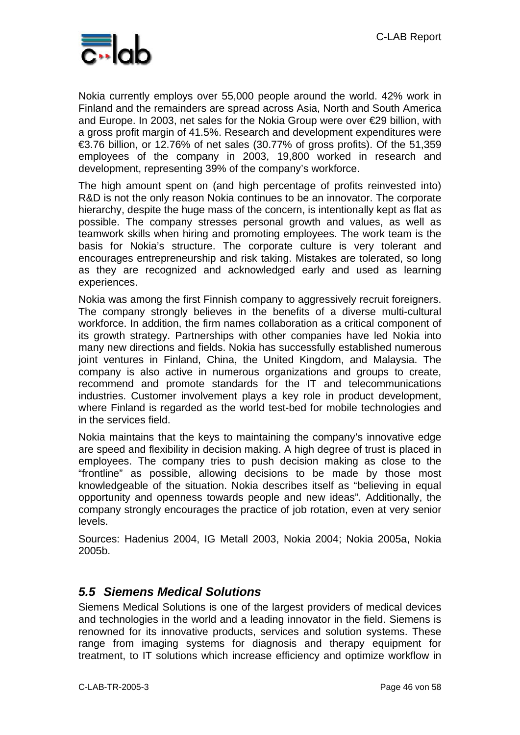

Nokia currently employs over 55,000 people around the world. 42% work in Finland and the remainders are spread across Asia, North and South America and Europe. In 2003, net sales for the Nokia Group were over €29 billion, with a gross profit margin of 41.5%. Research and development expenditures were €3.76 billion, or 12.76% of net sales (30.77% of gross profits). Of the 51,359 employees of the company in 2003, 19,800 worked in research and development, representing 39% of the company's workforce.

The high amount spent on (and high percentage of profits reinvested into) R&D is not the only reason Nokia continues to be an innovator. The corporate hierarchy, despite the huge mass of the concern, is intentionally kept as flat as possible. The company stresses personal growth and values, as well as teamwork skills when hiring and promoting employees. The work team is the basis for Nokia's structure. The corporate culture is very tolerant and encourages entrepreneurship and risk taking. Mistakes are tolerated, so long as they are recognized and acknowledged early and used as learning experiences.

Nokia was among the first Finnish company to aggressively recruit foreigners. The company strongly believes in the benefits of a diverse multi-cultural workforce. In addition, the firm names collaboration as a critical component of its growth strategy. Partnerships with other companies have led Nokia into many new directions and fields. Nokia has successfully established numerous joint ventures in Finland, China, the United Kingdom, and Malaysia. The company is also active in numerous organizations and groups to create, recommend and promote standards for the IT and telecommunications industries. Customer involvement plays a key role in product development, where Finland is regarded as the world test-bed for mobile technologies and in the services field.

Nokia maintains that the keys to maintaining the company's innovative edge are speed and flexibility in decision making. A high degree of trust is placed in employees. The company tries to push decision making as close to the "frontline" as possible, allowing decisions to be made by those most knowledgeable of the situation. Nokia describes itself as "believing in equal opportunity and openness towards people and new ideas". Additionally, the company strongly encourages the practice of job rotation, even at very senior levels.

Sources: Hadenius 2004, IG Metall 2003, Nokia 2004; Nokia 2005a, Nokia 2005b.

### *5.5 Siemens Medical Solutions*

Siemens Medical Solutions is one of the largest providers of medical devices and technologies in the world and a leading innovator in the field. Siemens is renowned for its innovative products, services and solution systems. These range from imaging systems for diagnosis and therapy equipment for treatment, to IT solutions which increase efficiency and optimize workflow in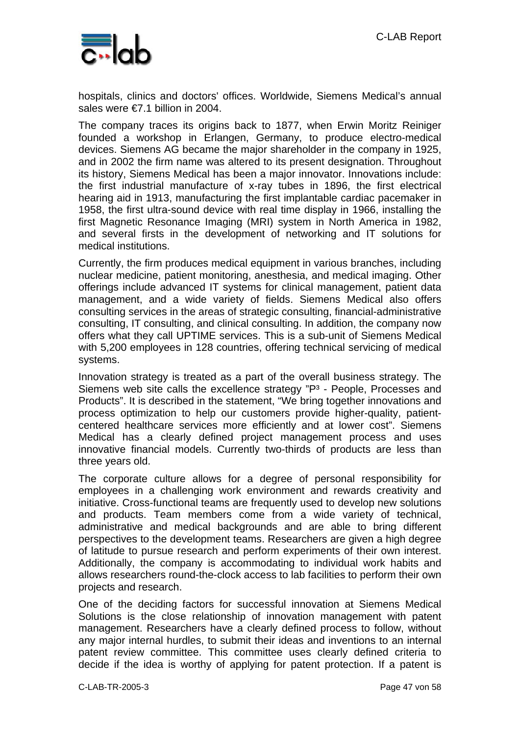

hospitals, clinics and doctors' offices. Worldwide, Siemens Medical's annual sales were €7.1 billion in 2004.

The company traces its origins back to 1877, when Erwin Moritz Reiniger founded a workshop in Erlangen, Germany, to produce electro-medical devices. Siemens AG became the major shareholder in the company in 1925, and in 2002 the firm name was altered to its present designation. Throughout its history, Siemens Medical has been a major innovator. Innovations include: the first industrial manufacture of x-ray tubes in 1896, the first electrical hearing aid in 1913, manufacturing the first implantable cardiac pacemaker in 1958, the first ultra-sound device with real time display in 1966, installing the first Magnetic Resonance Imaging (MRI) system in North America in 1982, and several firsts in the development of networking and IT solutions for medical institutions.

Currently, the firm produces medical equipment in various branches, including nuclear medicine, patient monitoring, anesthesia, and medical imaging. Other offerings include advanced IT systems for clinical management, patient data management, and a wide variety of fields. Siemens Medical also offers consulting services in the areas of strategic consulting, financial-administrative consulting, IT consulting, and clinical consulting. In addition, the company now offers what they call UPTIME services. This is a sub-unit of Siemens Medical with 5,200 employees in 128 countries, offering technical servicing of medical systems.

Innovation strategy is treated as a part of the overall business strategy. The Siemens web site calls the excellence strategy "P<sup>3</sup> - People, Processes and Products". It is described in the statement, "We bring together innovations and process optimization to help our customers provide higher-quality, patientcentered healthcare services more efficiently and at lower cost". Siemens Medical has a clearly defined project management process and uses innovative financial models. Currently two-thirds of products are less than three years old.

The corporate culture allows for a degree of personal responsibility for employees in a challenging work environment and rewards creativity and initiative. Cross-functional teams are frequently used to develop new solutions and products. Team members come from a wide variety of technical, administrative and medical backgrounds and are able to bring different perspectives to the development teams. Researchers are given a high degree of latitude to pursue research and perform experiments of their own interest. Additionally, the company is accommodating to individual work habits and allows researchers round-the-clock access to lab facilities to perform their own projects and research.

One of the deciding factors for successful innovation at Siemens Medical Solutions is the close relationship of innovation management with patent management. Researchers have a clearly defined process to follow, without any major internal hurdles, to submit their ideas and inventions to an internal patent review committee. This committee uses clearly defined criteria to decide if the idea is worthy of applying for patent protection. If a patent is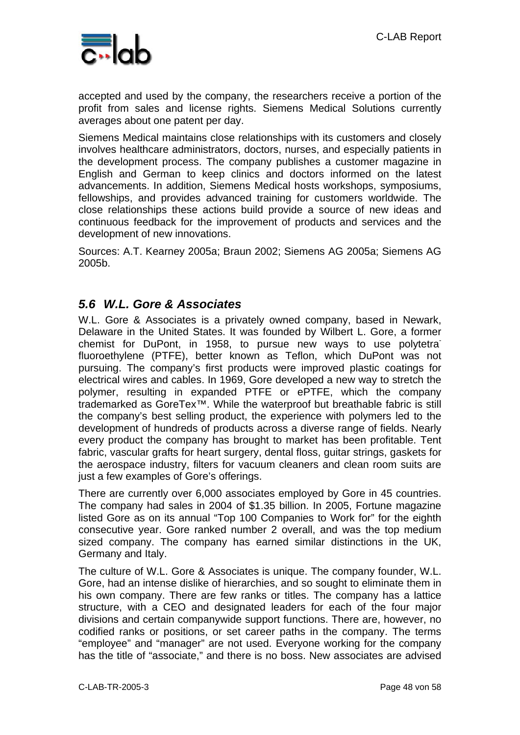

accepted and used by the company, the researchers receive a portion of the profit from sales and license rights. Siemens Medical Solutions currently averages about one patent per day.

Siemens Medical maintains close relationships with its customers and closely involves healthcare administrators, doctors, nurses, and especially patients in the development process. The company publishes a customer magazine in English and German to keep clinics and doctors informed on the latest advancements. In addition, Siemens Medical hosts workshops, symposiums, fellowships, and provides advanced training for customers worldwide. The close relationships these actions build provide a source of new ideas and continuous feedback for the improvement of products and services and the development of new innovations.

Sources: A.T. Kearney 2005a; Braun 2002; Siemens AG 2005a; Siemens AG 2005b.

### *5.6 W.L. Gore & Associates*

W.L. Gore & Associates is a privately owned company, based in Newark, Delaware in the United States. It was founded by Wilbert L. Gore, a former chemist for DuPont, in 1958, to pursue new ways to use polytetral fluoroethylene (PTFE), better known as Teflon, which DuPont was not pursuing. The company's first products were improved plastic coatings for electrical wires and cables. In 1969, Gore developed a new way to stretch the polymer, resulting in expanded PTFE or ePTFE, which the company trademarked as GoreTex™. While the waterproof but breathable fabric is still the company's best selling product, the experience with polymers led to the development of hundreds of products across a diverse range of fields. Nearly every product the company has brought to market has been profitable. Tent fabric, vascular grafts for heart surgery, dental floss, guitar strings, gaskets for the aerospace industry, filters for vacuum cleaners and clean room suits are just a few examples of Gore's offerings.

There are currently over 6,000 associates employed by Gore in 45 countries. The company had sales in 2004 of \$1.35 billion. In 2005, Fortune magazine listed Gore as on its annual "Top 100 Companies to Work for" for the eighth consecutive year. Gore ranked number 2 overall, and was the top medium sized company. The company has earned similar distinctions in the UK, Germany and Italy.

The culture of W.L. Gore & Associates is unique. The company founder, W.L. Gore, had an intense dislike of hierarchies, and so sought to eliminate them in his own company. There are few ranks or titles. The company has a lattice structure, with a CEO and designated leaders for each of the four major divisions and certain companywide support functions. There are, however, no codified ranks or positions, or set career paths in the company. The terms "employee" and "manager" are not used. Everyone working for the company has the title of "associate," and there is no boss. New associates are advised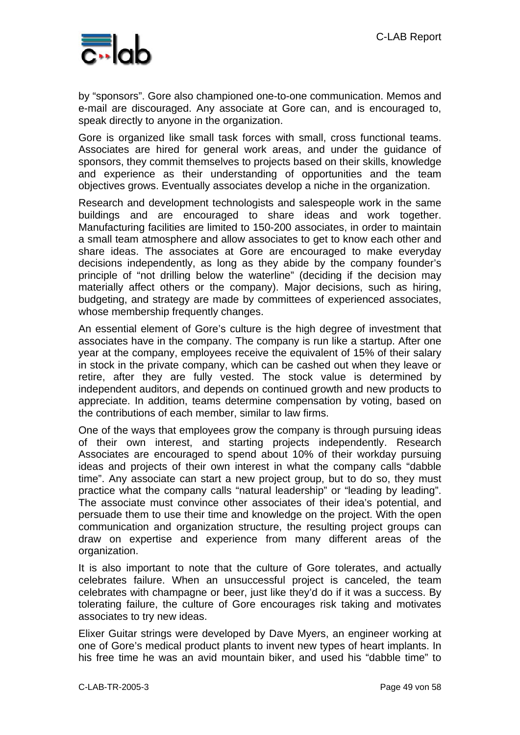

by "sponsors". Gore also championed one-to-one communication. Memos and e-mail are discouraged. Any associate at Gore can, and is encouraged to, speak directly to anyone in the organization.

Gore is organized like small task forces with small, cross functional teams. Associates are hired for general work areas, and under the guidance of sponsors, they commit themselves to projects based on their skills, knowledge and experience as their understanding of opportunities and the team objectives grows. Eventually associates develop a niche in the organization.

Research and development technologists and salespeople work in the same buildings and are encouraged to share ideas and work together. Manufacturing facilities are limited to 150-200 associates, in order to maintain a small team atmosphere and allow associates to get to know each other and share ideas. The associates at Gore are encouraged to make everyday decisions independently, as long as they abide by the company founder's principle of "not drilling below the waterline" (deciding if the decision may materially affect others or the company). Major decisions, such as hiring, budgeting, and strategy are made by committees of experienced associates, whose membership frequently changes.

An essential element of Gore's culture is the high degree of investment that associates have in the company. The company is run like a startup. After one year at the company, employees receive the equivalent of 15% of their salary in stock in the private company, which can be cashed out when they leave or retire, after they are fully vested. The stock value is determined by independent auditors, and depends on continued growth and new products to appreciate. In addition, teams determine compensation by voting, based on the contributions of each member, similar to law firms.

One of the ways that employees grow the company is through pursuing ideas of their own interest, and starting projects independently. Research Associates are encouraged to spend about 10% of their workday pursuing ideas and projects of their own interest in what the company calls "dabble time". Any associate can start a new project group, but to do so, they must practice what the company calls "natural leadership" or "leading by leading". The associate must convince other associates of their idea's potential, and persuade them to use their time and knowledge on the project. With the open communication and organization structure, the resulting project groups can draw on expertise and experience from many different areas of the organization.

It is also important to note that the culture of Gore tolerates, and actually celebrates failure. When an unsuccessful project is canceled, the team celebrates with champagne or beer, just like they'd do if it was a success. By tolerating failure, the culture of Gore encourages risk taking and motivates associates to try new ideas.

Elixer Guitar strings were developed by Dave Myers, an engineer working at one of Gore's medical product plants to invent new types of heart implants. In his free time he was an avid mountain biker, and used his "dabble time" to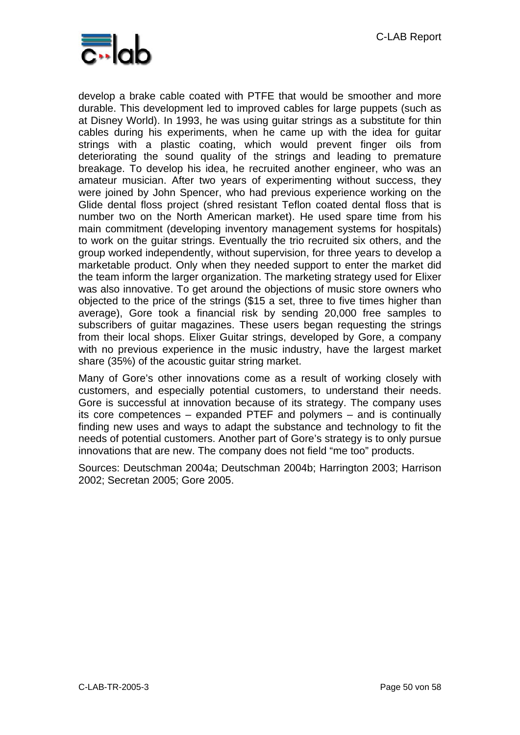

develop a brake cable coated with PTFE that would be smoother and more durable. This development led to improved cables for large puppets (such as at Disney World). In 1993, he was using guitar strings as a substitute for thin cables during his experiments, when he came up with the idea for guitar strings with a plastic coating, which would prevent finger oils from deteriorating the sound quality of the strings and leading to premature breakage. To develop his idea, he recruited another engineer, who was an amateur musician. After two years of experimenting without success, they were joined by John Spencer, who had previous experience working on the Glide dental floss project (shred resistant Teflon coated dental floss that is number two on the North American market). He used spare time from his main commitment (developing inventory management systems for hospitals) to work on the guitar strings. Eventually the trio recruited six others, and the group worked independently, without supervision, for three years to develop a marketable product. Only when they needed support to enter the market did the team inform the larger organization. The marketing strategy used for Elixer was also innovative. To get around the objections of music store owners who objected to the price of the strings (\$15 a set, three to five times higher than average), Gore took a financial risk by sending 20,000 free samples to subscribers of guitar magazines. These users began requesting the strings from their local shops. Elixer Guitar strings, developed by Gore, a company with no previous experience in the music industry, have the largest market share (35%) of the acoustic guitar string market.

Many of Gore's other innovations come as a result of working closely with customers, and especially potential customers, to understand their needs. Gore is successful at innovation because of its strategy. The company uses its core competences – expanded PTEF and polymers – and is continually finding new uses and ways to adapt the substance and technology to fit the needs of potential customers. Another part of Gore's strategy is to only pursue innovations that are new. The company does not field "me too" products.

Sources: Deutschman 2004a; Deutschman 2004b; Harrington 2003; Harrison 2002; Secretan 2005; Gore 2005.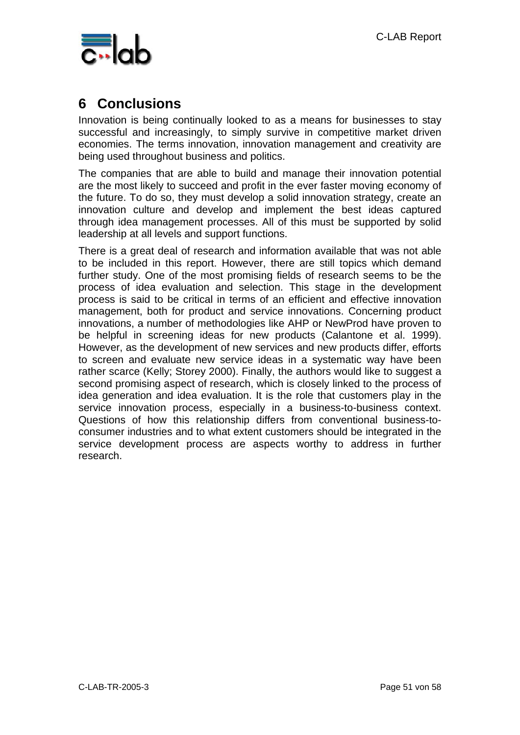

## **6 Conclusions**

Innovation is being continually looked to as a means for businesses to stay successful and increasingly, to simply survive in competitive market driven economies. The terms innovation, innovation management and creativity are being used throughout business and politics.

The companies that are able to build and manage their innovation potential are the most likely to succeed and profit in the ever faster moving economy of the future. To do so, they must develop a solid innovation strategy, create an innovation culture and develop and implement the best ideas captured through idea management processes. All of this must be supported by solid leadership at all levels and support functions.

There is a great deal of research and information available that was not able to be included in this report. However, there are still topics which demand further study. One of the most promising fields of research seems to be the process of idea evaluation and selection. This stage in the development process is said to be critical in terms of an efficient and effective innovation management, both for product and service innovations. Concerning product innovations, a number of methodologies like AHP or NewProd have proven to be helpful in screening ideas for new products (Calantone et al. 1999). However, as the development of new services and new products differ, efforts to screen and evaluate new service ideas in a systematic way have been rather scarce (Kelly; Storey 2000). Finally, the authors would like to suggest a second promising aspect of research, which is closely linked to the process of idea generation and idea evaluation. It is the role that customers play in the service innovation process, especially in a business-to-business context. Questions of how this relationship differs from conventional business-toconsumer industries and to what extent customers should be integrated in the service development process are aspects worthy to address in further research.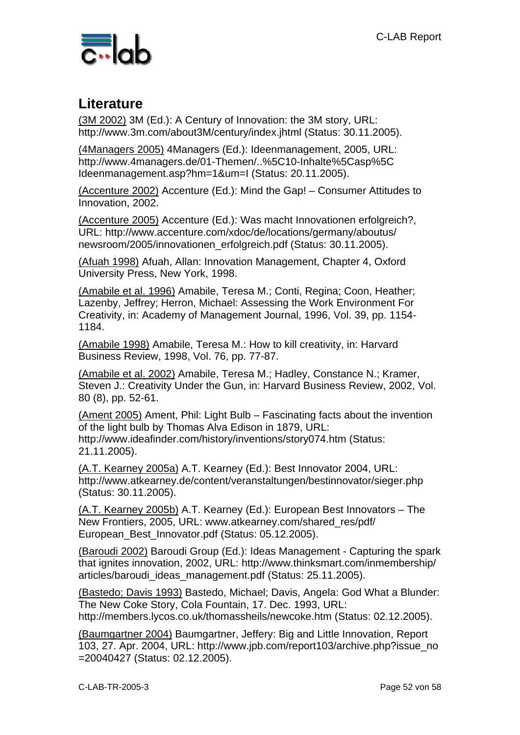

## **Literature**

(3M 2002) 3M (Ed.): A Century of Innovation: the 3M story, URL: http://www.3m.com/about3M/century/index.jhtml (Status: 30.11.2005).

(4Managers 2005) 4Managers (Ed.): Ideenmanagement, 2005, URL: http://www.4managers.de/01-Themen/..%5C10-Inhalte%5Casp%5C Ideenmanagement.asp?hm=1&um=I (Status: 20.11.2005).

(Accenture 2002) Accenture (Ed.): Mind the Gap! – Consumer Attitudes to Innovation, 2002.

(Accenture 2005) Accenture (Ed.): Was macht Innovationen erfolgreich?, URL: http://www.accenture.com/xdoc/de/locations/germany/aboutus/ newsroom/2005/innovationen\_erfolgreich.pdf (Status: 30.11.2005).

(Afuah 1998) Afuah, Allan: Innovation Management, Chapter 4, Oxford University Press, New York, 1998.

(Amabile et al. 1996) Amabile, Teresa M.; Conti, Regina; Coon, Heather; Lazenby, Jeffrey; Herron, Michael: Assessing the Work Environment For Creativity, in: Academy of Management Journal, 1996, Vol. 39, pp. 1154- 1184.

(Amabile 1998) Amabile, Teresa M.: How to kill creativity, in: Harvard Business Review, 1998, Vol. 76, pp. 77-87.

(Amabile et al. 2002) Amabile, Teresa M.; Hadley, Constance N.; Kramer, Steven J.: Creativity Under the Gun, in: Harvard Business Review, 2002, Vol. 80 (8), pp. 52-61.

(Ament 2005) Ament, Phil: Light Bulb – Fascinating facts about the invention of the light bulb by Thomas Alva Edison in 1879, URL: http://www.ideafinder.com/history/inventions/story074.htm (Status: 21.11.2005).

(A.T. Kearney 2005a) A.T. Kearney (Ed.): Best Innovator 2004, URL: http://www.atkearney.de/content/veranstaltungen/bestinnovator/sieger.php (Status: 30.11.2005).

(A.T. Kearney 2005b) A.T. Kearney (Ed.): European Best Innovators – The New Frontiers, 2005, URL: www.atkearney.com/shared\_res/pdf/ European\_Best\_Innovator.pdf (Status: 05.12.2005).

(Baroudi 2002) Baroudi Group (Ed.): Ideas Management - Capturing the spark that ignites innovation, 2002, URL: http://www.thinksmart.com/inmembership/ articles/baroudi\_ideas\_management.pdf (Status: 25.11.2005).

(Bastedo; Davis 1993) Bastedo, Michael; Davis, Angela: God What a Blunder: The New Coke Story, Cola Fountain, 17. Dec. 1993, URL: http://members.lycos.co.uk/thomassheils/newcoke.htm (Status: 02.12.2005).

(Baumgartner 2004) Baumgartner, Jeffery: Big and Little Innovation, Report 103, 27. Apr. 2004, URL: http://www.jpb.com/report103/archive.php?issue\_no =20040427 (Status: 02.12.2005).

C-LAB-TR-2005-3 Page 52 von 58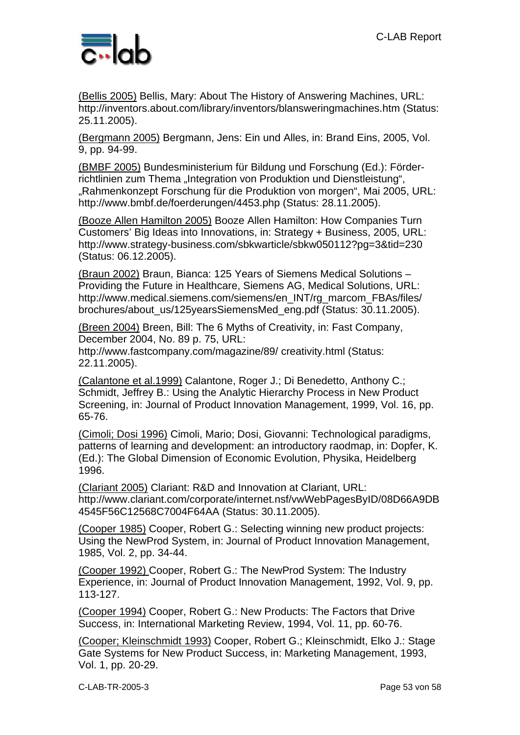

(Bellis 2005) Bellis, Mary: About The History of Answering Machines, URL: http://inventors.about.com/library/inventors/blansweringmachines.htm (Status: 25.11.2005).

(Bergmann 2005) Bergmann, Jens: Ein und Alles, in: Brand Eins, 2005, Vol. 9, pp. 94-99.

(BMBF 2005) Bundesministerium für Bildung und Forschung (Ed.): Förderrichtlinien zum Thema "Integration von Produktion und Dienstleistung", "Rahmenkonzept Forschung für die Produktion von morgen", Mai 2005, URL: http://www.bmbf.de/foerderungen/4453.php (Status: 28.11.2005).

(Booze Allen Hamilton 2005) Booze Allen Hamilton: How Companies Turn Customers' Big Ideas into Innovations, in: Strategy + Business, 2005, URL: http://www.strategy-business.com/sbkwarticle/sbkw050112?pg=3&tid=230 (Status: 06.12.2005).

(Braun 2002) Braun, Bianca: 125 Years of Siemens Medical Solutions – Providing the Future in Healthcare, Siemens AG, Medical Solutions, URL: http://www.medical.siemens.com/siemens/en\_INT/rg\_marcom\_FBAs/files/ brochures/about\_us/125yearsSiemensMed\_eng.pdf (Status: 30.11.2005).

(Breen 2004) Breen, Bill: The 6 Myths of Creativity, in: Fast Company, December 2004, No. 89 p. 75, URL:

http://www.fastcompany.com/magazine/89/ creativity.html (Status: 22.11.2005).

(Calantone et al.1999) Calantone, Roger J.; Di Benedetto, Anthony C.; Schmidt, Jeffrey B.: Using the Analytic Hierarchy Process in New Product Screening, in: Journal of Product Innovation Management, 1999, Vol. 16, pp. 65-76.

(Cimoli; Dosi 1996) Cimoli, Mario; Dosi, Giovanni: Technological paradigms, patterns of learning and development: an introductory raodmap, in: Dopfer, K. (Ed.): The Global Dimension of Economic Evolution, Physika, Heidelberg 1996.

(Clariant 2005) Clariant: R&D and Innovation at Clariant, URL: http://www.clariant.com/corporate/internet.nsf/vwWebPagesByID/08D66A9DB 4545F56C12568C7004F64AA (Status: 30.11.2005).

(Cooper 1985) Cooper, Robert G.: Selecting winning new product projects: Using the NewProd System, in: Journal of Product Innovation Management, 1985, Vol. 2, pp. 34-44.

(Cooper 1992) Cooper, Robert G.: The NewProd System: The Industry Experience, in: Journal of Product Innovation Management, 1992, Vol. 9, pp. 113-127.

(Cooper 1994) Cooper, Robert G.: New Products: The Factors that Drive Success, in: International Marketing Review, 1994, Vol. 11, pp. 60-76.

(Cooper; Kleinschmidt 1993) Cooper, Robert G.; Kleinschmidt, Elko J.: Stage Gate Systems for New Product Success, in: Marketing Management, 1993, Vol. 1, pp. 20-29.

C-LAB-TR-2005-3 Page 53 von 58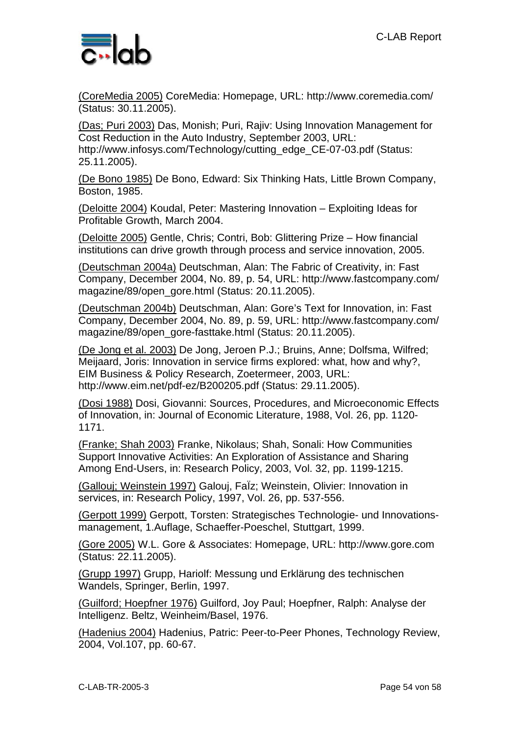

(CoreMedia 2005) CoreMedia: Homepage, URL: http://www.coremedia.com/ (Status: 30.11.2005).

(Das; Puri 2003) Das, Monish; Puri, Rajiv: Using Innovation Management for Cost Reduction in the Auto Industry, September 2003, URL: http://www.infosys.com/Technology/cutting\_edge\_CE-07-03.pdf (Status: 25.11.2005).

(De Bono 1985) De Bono, Edward: Six Thinking Hats, Little Brown Company, Boston, 1985.

(Deloitte 2004) Koudal, Peter: Mastering Innovation – Exploiting Ideas for Profitable Growth, March 2004.

(Deloitte 2005) Gentle, Chris; Contri, Bob: Glittering Prize – How financial institutions can drive growth through process and service innovation, 2005.

(Deutschman 2004a) Deutschman, Alan: The Fabric of Creativity, in: Fast Company, December 2004, No. 89, p. 54, URL: http://www.fastcompany.com/ magazine/89/open\_gore.html (Status: 20.11.2005).

(Deutschman 2004b) Deutschman, Alan: Gore's Text for Innovation, in: Fast Company, December 2004, No. 89, p. 59, URL: http://www.fastcompany.com/ magazine/89/open\_gore-fasttake.html (Status: 20.11.2005).

(De Jong et al. 2003) De Jong, Jeroen P.J.; Bruins, Anne; Dolfsma, Wilfred; Meijaard, Joris: Innovation in service firms explored: what, how and why?, EIM Business & Policy Research, Zoetermeer, 2003, URL: http://www.eim.net/pdf-ez/B200205.pdf (Status: 29.11.2005).

(Dosi 1988) Dosi, Giovanni: Sources, Procedures, and Microeconomic Effects of Innovation, in: Journal of Economic Literature, 1988, Vol. 26, pp. 1120- 1171.

(Franke; Shah 2003) Franke, Nikolaus; Shah, Sonali: How Communities Support Innovative Activities: An Exploration of Assistance and Sharing Among End-Users, in: Research Policy, 2003, Vol. 32, pp. 1199-1215.

(Gallouj; Weinstein 1997) Galouj, FaÏz; Weinstein, Olivier: Innovation in services, in: Research Policy, 1997, Vol. 26, pp. 537-556.

(Gerpott 1999) Gerpott, Torsten: Strategisches Technologie- und Innovationsmanagement, 1.Auflage, Schaeffer-Poeschel, Stuttgart, 1999.

(Gore 2005) W.L. Gore & Associates: Homepage, URL: http://www.gore.com (Status: 22.11.2005).

(Grupp 1997) Grupp, Hariolf: Messung und Erklärung des technischen Wandels, Springer, Berlin, 1997.

(Guilford; Hoepfner 1976) Guilford, Joy Paul; Hoepfner, Ralph: Analyse der Intelligenz. Beltz, Weinheim/Basel, 1976.

(Hadenius 2004) Hadenius, Patric: Peer-to-Peer Phones, Technology Review, 2004, Vol.107, pp. 60-67.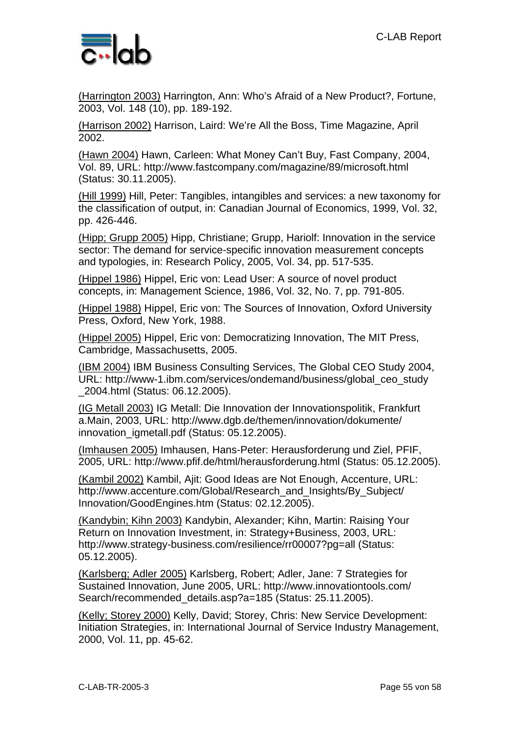

(Harrington 2003) Harrington, Ann: Who's Afraid of a New Product?, Fortune, 2003, Vol. 148 (10), pp. 189-192.

(Harrison 2002) Harrison, Laird: We're All the Boss, Time Magazine, April 2002.

(Hawn 2004) Hawn, Carleen: What Money Can't Buy, Fast Company, 2004, Vol. 89, URL: http://www.fastcompany.com/magazine/89/microsoft.html (Status: 30.11.2005).

(Hill 1999) Hill, Peter: Tangibles, intangibles and services: a new taxonomy for the classification of output, in: Canadian Journal of Economics, 1999, Vol. 32, pp. 426-446.

(Hipp; Grupp 2005) Hipp, Christiane; Grupp, Hariolf: Innovation in the service sector: The demand for service-specific innovation measurement concepts and typologies, in: Research Policy, 2005, Vol. 34, pp. 517-535.

(Hippel 1986) Hippel, Eric von: Lead User: A source of novel product concepts, in: Management Science, 1986, Vol. 32, No. 7, pp. 791-805.

(Hippel 1988) Hippel, Eric von: The Sources of Innovation, Oxford University Press, Oxford, New York, 1988.

(Hippel 2005) Hippel, Eric von: Democratizing Innovation, The MIT Press, Cambridge, Massachusetts, 2005.

(IBM 2004) IBM Business Consulting Services, The Global CEO Study 2004, URL: http://www-1.ibm.com/services/ondemand/business/global\_ceo\_study \_2004.html (Status: 06.12.2005).

(IG Metall 2003) IG Metall: Die Innovation der Innovationspolitik, Frankfurt a.Main, 2003, URL: http://www.dgb.de/themen/innovation/dokumente/ innovation\_igmetall.pdf (Status: 05.12.2005).

(Imhausen 2005) Imhausen, Hans-Peter: Herausforderung und Ziel, PFIF, 2005, URL: http://www.pfif.de/html/herausforderung.html (Status: 05.12.2005).

(Kambil 2002) Kambil, Ajit: Good Ideas are Not Enough, Accenture, URL: http://www.accenture.com/Global/Research\_and\_Insights/By\_Subject/ Innovation/GoodEngines.htm (Status: 02.12.2005).

(Kandybin; Kihn 2003) Kandybin, Alexander; Kihn, Martin: Raising Your Return on Innovation Investment, in: Strategy+Business, 2003, URL: http://www.strategy-business.com/resilience/rr00007?pg=all (Status: 05.12.2005).

(Karlsberg; Adler 2005) Karlsberg, Robert; Adler, Jane: 7 Strategies for Sustained Innovation, June 2005, URL: http://www.innovationtools.com/ Search/recommended\_details.asp?a=185 (Status: 25.11.2005).

(Kelly; Storey 2000) Kelly, David; Storey, Chris: New Service Development: Initiation Strategies, in: International Journal of Service Industry Management, 2000, Vol. 11, pp. 45-62.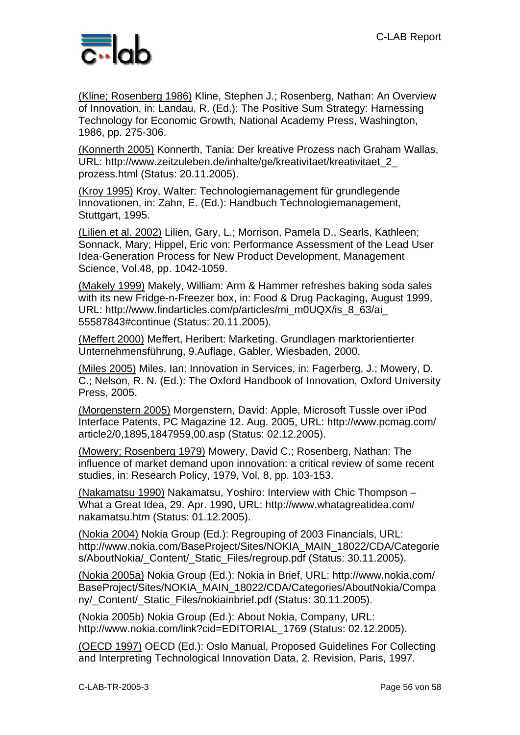

(Kline; Rosenberg 1986) Kline, Stephen J.; Rosenberg, Nathan: An Overview of Innovation, in: Landau, R. (Ed.): The Positive Sum Strategy: Harnessing Technology for Economic Growth, National Academy Press, Washington, 1986, pp. 275-306.

(Konnerth 2005) Konnerth, Tania: Der kreative Prozess nach Graham Wallas, URL: http://www.zeitzuleben.de/inhalte/ge/kreativitaet/kreativitaet\_2\_ prozess.html (Status: 20.11.2005).

(Kroy 1995) Kroy, Walter: Technologiemanagement für grundlegende Innovationen, in: Zahn, E. (Ed.): Handbuch Technologiemanagement, Stuttgart, 1995.

(Lilien et al. 2002) Lilien, Gary, L.; Morrison, Pamela D., Searls, Kathleen; Sonnack, Mary; Hippel, Eric von: Performance Assessment of the Lead User Idea-Generation Process for New Product Development, Management Science, Vol.48, pp. 1042-1059.

(Makely 1999) Makely, William: Arm & Hammer refreshes baking soda sales with its new Fridge-n-Freezer box, in: Food & Drug Packaging, August 1999, URL: http://www.findarticles.com/p/articles/mi\_m0UQX/is\_8\_63/ai\_ 55587843#continue (Status: 20.11.2005).

(Meffert 2000) Meffert, Heribert: Marketing. Grundlagen marktorientierter Unternehmensführung, 9.Auflage, Gabler, Wiesbaden, 2000.

(Miles 2005) Miles, Ian: Innovation in Services, in: Fagerberg, J.; Mowery, D. C.; Nelson, R. N. (Ed.): The Oxford Handbook of Innovation, Oxford University Press, 2005.

(Morgenstern 2005) Morgenstern, David: Apple, Microsoft Tussle over iPod Interface Patents, PC Magazine 12. Aug. 2005, URL: http://www.pcmag.com/ article2/0,1895,1847959,00.asp (Status: 02.12.2005).

(Mowery; Rosenberg 1979) Mowery, David C.; Rosenberg, Nathan: The influence of market demand upon innovation: a critical review of some recent studies, in: Research Policy, 1979, Vol. 8, pp. 103-153.

(Nakamatsu 1990) Nakamatsu, Yoshiro: Interview with Chic Thompson – What a Great Idea, 29. Apr. 1990, URL: http://www.whatagreatidea.com/ nakamatsu.htm (Status: 01.12.2005).

(Nokia 2004) Nokia Group (Ed.): Regrouping of 2003 Financials, URL: http://www.nokia.com/BaseProject/Sites/NOKIA\_MAIN\_18022/CDA/Categorie s/AboutNokia/ Content/ Static Files/regroup.pdf (Status: 30.11.2005).

(Nokia 2005a) Nokia Group (Ed.): Nokia in Brief, URL: http://www.nokia.com/ BaseProject/Sites/NOKIA\_MAIN\_18022/CDA/Categories/AboutNokia/Compa ny/ Content/ Static\_Files/nokiainbrief.pdf (Status: 30.11.2005).

(Nokia 2005b) Nokia Group (Ed.): About Nokia, Company, URL: http://www.nokia.com/link?cid=EDITORIAL\_1769 (Status: 02.12.2005).

(OECD 1997) OECD (Ed.): Oslo Manual, Proposed Guidelines For Collecting and Interpreting Technological Innovation Data, 2. Revision, Paris, 1997.

C-LAB-TR-2005-3 Page 56 von 58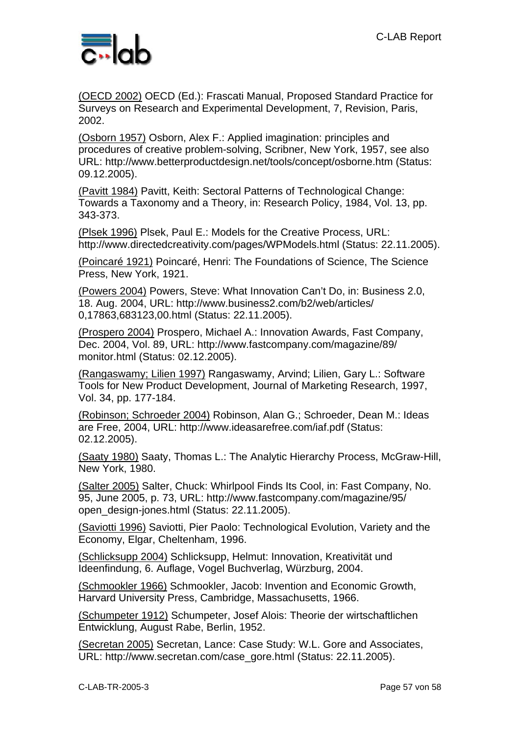

(OECD 2002) OECD (Ed.): Frascati Manual, Proposed Standard Practice for Surveys on Research and Experimental Development, 7, Revision, Paris, 2002.

(Osborn 1957) Osborn, Alex F.: Applied imagination: principles and procedures of creative problem-solving, Scribner, New York, 1957, see also URL: http://www.betterproductdesign.net/tools/concept/osborne.htm (Status: 09.12.2005).

(Pavitt 1984) Pavitt, Keith: Sectoral Patterns of Technological Change: Towards a Taxonomy and a Theory, in: Research Policy, 1984, Vol. 13, pp. 343-373.

(Plsek 1996) Plsek, Paul E.: Models for the Creative Process, URL: http://www.directedcreativity.com/pages/WPModels.html (Status: 22.11.2005).

(Poincaré 1921) Poincaré, Henri: The Foundations of Science, The Science Press, New York, 1921.

(Powers 2004) Powers, Steve: What Innovation Can't Do, in: Business 2.0, 18. Aug. 2004, URL: http://www.business2.com/b2/web/articles/ 0,17863,683123,00.html (Status: 22.11.2005).

(Prospero 2004) Prospero, Michael A.: Innovation Awards, Fast Company, Dec. 2004, Vol. 89, URL: http://www.fastcompany.com/magazine/89/ monitor.html (Status: 02.12.2005).

(Rangaswamy; Lilien 1997) Rangaswamy, Arvind; Lilien, Gary L.: Software Tools for New Product Development, Journal of Marketing Research, 1997, Vol. 34, pp. 177-184.

(Robinson; Schroeder 2004) Robinson, Alan G.; Schroeder, Dean M.: Ideas are Free, 2004, URL: http://www.ideasarefree.com/iaf.pdf (Status: 02.12.2005).

(Saaty 1980) Saaty, Thomas L.: The Analytic Hierarchy Process, McGraw-Hill, New York, 1980.

(Salter 2005) Salter, Chuck: Whirlpool Finds Its Cool, in: Fast Company, No. 95, June 2005, p. 73, URL: http://www.fastcompany.com/magazine/95/ open\_design-jones.html (Status: 22.11.2005).

(Saviotti 1996) Saviotti, Pier Paolo: Technological Evolution, Variety and the Economy, Elgar, Cheltenham, 1996.

(Schlicksupp 2004) Schlicksupp, Helmut: Innovation, Kreativität und Ideenfindung, 6. Auflage, Vogel Buchverlag, Würzburg, 2004.

(Schmookler 1966) Schmookler, Jacob: Invention and Economic Growth, Harvard University Press, Cambridge, Massachusetts, 1966.

(Schumpeter 1912) Schumpeter, Josef Alois: Theorie der wirtschaftlichen Entwicklung, August Rabe, Berlin, 1952.

(Secretan 2005) Secretan, Lance: Case Study: W.L. Gore and Associates, URL: http://www.secretan.com/case\_gore.html (Status: 22.11.2005).